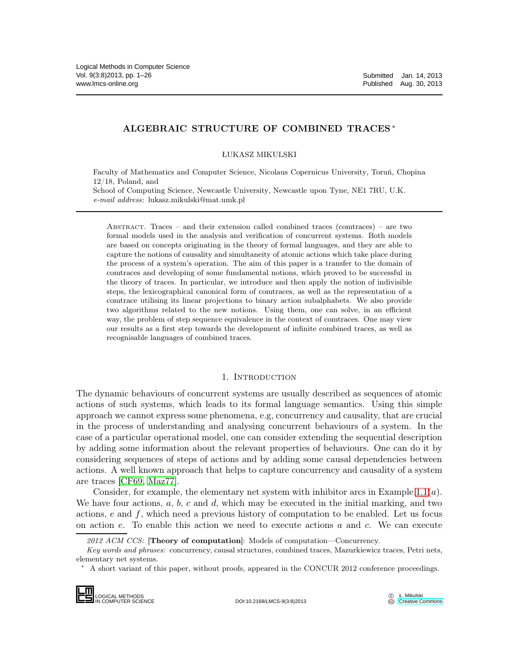# ALGEBRAIC STRUCTURE OF COMBINED TRACES <sup>∗</sup>

ŁUKASZ MIKULSKI

Faculty of Mathematics and Computer Science, Nicolaus Copernicus University, Toruń, Chopina 12/18, Poland, and School of Computing Science, Newcastle University, Newcastle upon Tyne, NE1 7RU, U.K. e-mail address: lukasz.mikulski@mat.umk.pl

Abstract. Traces – and their extension called combined traces (comtraces) – are two formal models used in the analysis and verification of concurrent systems. Both models are based on concepts originating in the theory of formal languages, and they are able to capture the notions of causality and simultaneity of atomic actions which take place during the process of a system's operation. The aim of this paper is a transfer to the domain of comtraces and developing of some fundamental notions, which proved to be successful in the theory of traces. In particular, we introduce and then apply the notion of indivisible steps, the lexicographical canonical form of comtraces, as well as the representation of a comtrace utilising its linear projections to binary action subalphabets. We also provide two algorithms related to the new notions. Using them, one can solve, in an efficient way, the problem of step sequence equivalence in the context of comtraces. One may view our results as a first step towards the development of infinite combined traces, as well as recognisable languages of combined traces.

## 1. INTRODUCTION

The dynamic behaviours of concurrent systems are usually described as sequences of atomic actions of such systems, which leads to its formal language semantics. Using this simple approach we cannot express some phenomena, e.g, concurrency and causality, that are crucial in the process of understanding and analysing concurrent behaviours of a system. In the case of a particular operational model, one can consider extending the sequential description by adding some information about the relevant properties of behaviours. One can do it by considering sequences of steps of actions and by adding some causal dependencies between actions. A well known approach that helps to capture concurrency and causality of a system are traces [\[CF69,](#page-25-0) [Maz77\]](#page-25-1).

Consider, for example, the elementary net system with inhibitor arcs in Example 1.1 $(a)$ . We have four actions,  $a, b, c$  and  $d$ , which may be executed in the initial marking, and two actions,  $e$  and  $f$ , which need a previous history of computation to be enabled. Let us focus on action e. To enable this action we need to execute actions a and c. We can execute

A short variant of this paper, without proofs, appeared in the CONCUR 2012 conference proceedings.



DOI:10.2168/LMCS-9(3:8)2013

<sup>2012</sup> ACM CCS: [Theory of computation]: Models of computation-Concurrency.

Key words and phrases: concurrency, causal structures, combined traces, Mazurkiewicz traces, Petri nets, elementary net systems.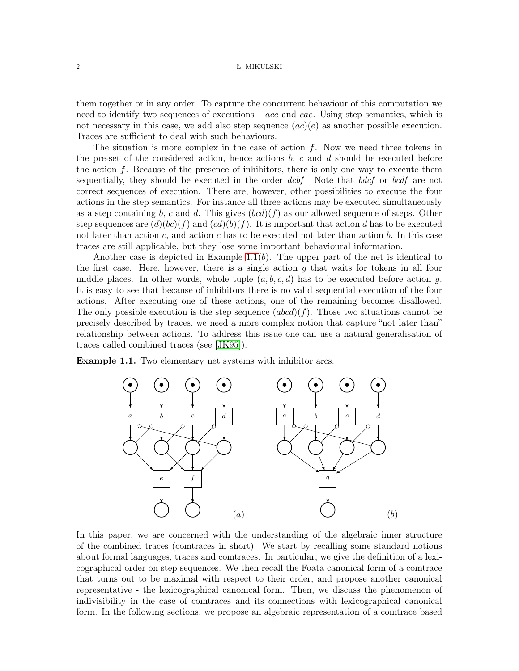them together or in any order. To capture the concurrent behaviour of this computation we need to identify two sequences of executions – ace and cae. Using step semantics, which is not necessary in this case, we add also step sequence  $(ac)(e)$  as another possible execution. Traces are sufficient to deal with such behaviours.

The situation is more complex in the case of action  $f$ . Now we need three tokens in the pre-set of the considered action, hence actions  $b, c$  and  $d$  should be executed before the action  $f$ . Because of the presence of inhibitors, there is only one way to execute them sequentially, they should be executed in the order dcbf. Note that bdcf or bcdf are not correct sequences of execution. There are, however, other possibilities to execute the four actions in the step semantics. For instance all three actions may be executed simultaneously as a step containing b, c and d. This gives  $(bcd)(f)$  as our allowed sequence of steps. Other step sequences are  $(d)(bc)(f)$  and  $(cd)(b)(f)$ . It is important that action d has to be executed not later than action c, and action c has to be executed not later than action  $b$ . In this case traces are still applicable, but they lose some important behavioural information.

Another case is depicted in Example 1.1 $(b)$ . The upper part of the net is identical to the first case. Here, however, there is a single action  $q$  that waits for tokens in all four middle places. In other words, whole tuple  $(a, b, c, d)$  has to be executed before action g. It is easy to see that because of inhibitors there is no valid sequential execution of the four actions. After executing one of these actions, one of the remaining becomes disallowed. The only possible execution is the step sequence  $(abcd)(f)$ . Those two situations cannot be precisely described by traces, we need a more complex notion that capture "not later than" relationship between actions. To address this issue one can use a natural generalisation of traces called combined traces (see [\[JK95\]](#page-25-2)).

<span id="page-1-0"></span>Example 1.1. Two elementary net systems with inhibitor arcs.



In this paper, we are concerned with the understanding of the algebraic inner structure of the combined traces (comtraces in short). We start by recalling some standard notions about formal languages, traces and comtraces. In particular, we give the definition of a lexicographical order on step sequences. We then recall the Foata canonical form of a comtrace that turns out to be maximal with respect to their order, and propose another canonical representative - the lexicographical canonical form. Then, we discuss the phenomenon of indivisibility in the case of comtraces and its connections with lexicographical canonical form. In the following sections, we propose an algebraic representation of a comtrace based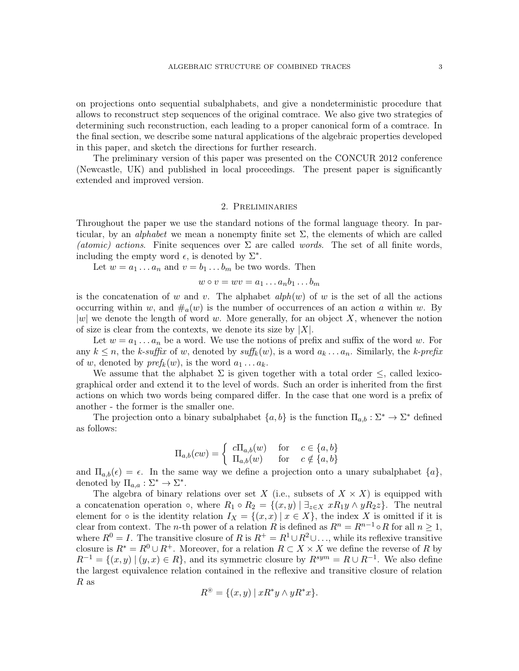on projections onto sequential subalphabets, and give a nondeterministic procedure that allows to reconstruct step sequences of the original comtrace. We also give two strategies of determining such reconstruction, each leading to a proper canonical form of a comtrace. In the final section, we describe some natural applications of the algebraic properties developed in this paper, and sketch the directions for further research.

The preliminary version of this paper was presented on the CONCUR 2012 conference (Newcastle, UK) and published in local proceedings. The present paper is significantly extended and improved version.

## 2. Preliminaries

Throughout the paper we use the standard notions of the formal language theory. In particular, by an *alphabet* we mean a nonempty finite set  $\Sigma$ , the elements of which are called (atomic) actions. Finite sequences over  $\Sigma$  are called words. The set of all finite words, including the empty word  $\epsilon$ , is denoted by  $\Sigma^*$ .

Let  $w = a_1 \dots a_n$  and  $v = b_1 \dots b_m$  be two words. Then

$$
w \circ v = wv = a_1 \dots a_nb_1 \dots b_m
$$

is the concatenation of w and v. The alphabet  $alph(w)$  of w is the set of all the actions occurring within w, and  $\#_a(w)$  is the number of occurrences of an action a within w. By  $|w|$  we denote the length of word w. More generally, for an object X, whenever the notion of size is clear from the contexts, we denote its size by  $|X|$ .

Let  $w = a_1 \ldots a_n$  be a word. We use the notions of prefix and suffix of the word w. For any  $k \leq n$ , the k-suffix of w, denoted by  $\text{suffix}(w)$ , is a word  $a_k \ldots a_n$ . Similarly, the k-prefix of w, denoted by  $pref_k(w)$ , is the word  $a_1 \ldots a_k$ .

We assume that the alphabet  $\Sigma$  is given together with a total order  $\leq$ , called lexicographical order and extend it to the level of words. Such an order is inherited from the first actions on which two words being compared differ. In the case that one word is a prefix of another - the former is the smaller one.

The projection onto a binary subalphabet  $\{a, b\}$  is the function  $\Pi_{a,b} : \Sigma^* \to \Sigma^*$  defined as follows:

$$
\Pi_{a,b}(cw) = \begin{cases} c\Pi_{a,b}(w) & \text{for } c \in \{a,b\} \\ \Pi_{a,b}(w) & \text{for } c \notin \{a,b\} \end{cases}
$$

and  $\Pi_{a,b}(\epsilon) = \epsilon$ . In the same way we define a projection onto a unary subalphabet  $\{a\}$ , denoted by  $\Pi_{a,a} : \Sigma^* \to \Sigma^*$ .

The algebra of binary relations over set X (i.e., subsets of  $X \times X$ ) is equipped with a concatenation operation  $\circ$ , where  $R_1 \circ R_2 = \{(x, y) \mid \exists_{z \in X} x R_1 y \land y R_2 z\}$ . The neutral element for  $\circ$  is the identity relation  $I_X = \{(x, x) | x \in X\}$ , the index X is omitted if it is clear from context. The *n*-th power of a relation R is defined as  $R^n = R^{n-1} \circ R$  for all  $n \ge 1$ , where  $R^0 = I$ . The transitive closure of R is  $R^+ = R^1 \cup R^2 \cup \dots$ , while its reflexive transitive closure is  $R^* = R^0 \cup R^+$ . Moreover, for a relation  $R \subset X \times X$  we define the reverse of R by  $R^{-1} = \{(x, y) | (y, x) \in R\}$ , and its symmetric closure by  $R^{sym} = R \cup R^{-1}$ . We also define the largest equivalence relation contained in the reflexive and transitive closure of relation R as

$$
R^{\circledast} = \{(x, y) \mid xR^*y \land yR^*x\}.
$$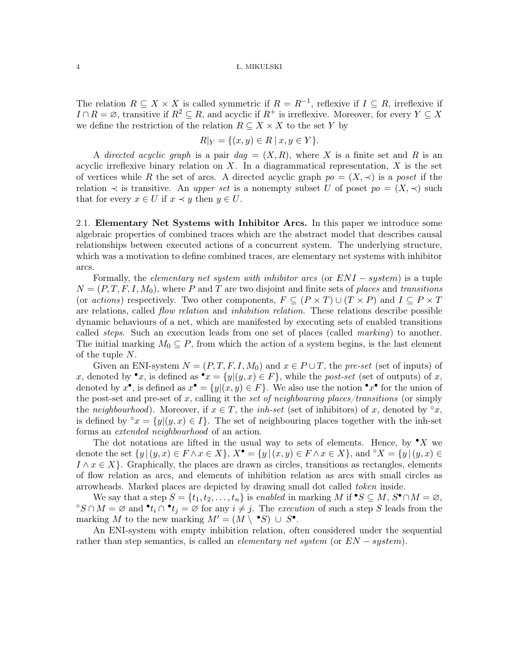The relation  $R \subseteq X \times X$  is called symmetric if  $R = R^{-1}$ , reflexive if  $I \subseteq R$ , irreflexive if  $I \cap R = \emptyset$ , transitive if  $R^2 \subseteq R$ , and acyclic if  $R^+$  is irreflexive. Moreover, for every  $Y \subseteq X$ we define the restriction of the relation  $R \subseteq X \times X$  to the set Y by

$$
R|_Y = \{(x, y) \in R \mid x, y \in Y\}.
$$

A directed acyclic graph is a pair  $dag = (X, R)$ , where X is a finite set and R is an acyclic irreflexive binary relation on  $X$ . In a diagrammatical representation,  $X$  is the set of vertices while R the set of arcs. A directed acyclic graph  $po = (X, \prec)$  is a poset if the relation  $\prec$  is transitive. An *upper set* is a nonempty subset U of poset  $p \circ (X, \prec)$  such that for every  $x \in U$  if  $x \prec y$  then  $y \in U$ .

2.1. Elementary Net Systems with Inhibitor Arcs. In this paper we introduce some algebraic properties of combined traces which are the abstract model that describes causal relationships between executed actions of a concurrent system. The underlying structure, which was a motivation to define combined traces, are elementary net systems with inhibitor arcs.

Formally, the *elementary net system with inhibitor arcs* (or  $ENI - system$ ) is a tuple  $N = (P, T, F, I, M_0)$ , where P and T are two disjoint and finite sets of places and transitions (or actions) respectively. Two other components,  $F \subseteq (P \times T) \cup (T \times P)$  and  $I \subseteq P \times T$ are relations, called *flow relation* and *inhibition relation*. These relations describe possible dynamic behaviours of a net, which are manifested by executing sets of enabled transitions called steps. Such an execution leads from one set of places (called marking) to another. The initial marking  $M_0 \subseteq P$ , from which the action of a system begins, is the last element of the tuple N.

Given an ENI-system  $N = (P, T, F, I, M_0)$  and  $x \in P \cup T$ , the pre-set (set of inputs) of x, denoted by  $\bullet x$ , is defined as  $\bullet x = \{y | (y, x) \in F\}$ , while the post-set (set of outputs) of x, denoted by  $x^{\bullet}$ , is defined as  $x^{\bullet} = \{y | (x, y) \in F\}$ . We also use the notion  $^{\bullet}x^{\bullet}$  for the union of the post-set and pre-set of x, calling it the set of neighbouring places/transitions (or simply the neighbourhood). Moreover, if  $x \in T$ , the inh-set (set of inhibitors) of x, denoted by °x, is defined by ° $x = \{y | (y, x) \in I\}$ . The set of neighbouring places together with the inh-set forms an extended neighbourhood of an action.

The dot notations are lifted in the usual way to sets of elements. Hence, by  $\mathbf{v} \cdot \mathbf{X}$  we denote the set  $\{y \mid (y, x) \in F \land x \in X\}$ ,  $X^{\bullet} = \{y \mid (x, y) \in F \land x \in X\}$ , and  $\circ X = \{y \mid (y, x) \in F \land x \in X\}$  $I \wedge x \in X$ . Graphically, the places are drawn as circles, transitions as rectangles, elements of flow relation as arcs, and elements of inhibition relation as arcs with small circles as arrowheads. Marked places are depicted by drawing small dot called token inside.

We say that a step  $S = \{t_1, t_2, \ldots, t_n\}$  is enabled in marking M if  $\bullet S \subseteq M$ ,  $S^{\bullet} \cap M = \varnothing$ , °S ∩ M =  $\emptyset$  and  $\bullet$  t<sub>i</sub> ∩  $\bullet$  t<sub>j</sub> =  $\emptyset$  for any  $i \neq j$ . The execution of such a step S leads from the marking M to the new marking  $M' = (M \setminus \bullet S) \cup S^{\bullet}$ .

An ENI-system with empty inhibition relation, often considered under the sequential rather than step semantics, is called an *elementary net system* (or  $EN-system$ ).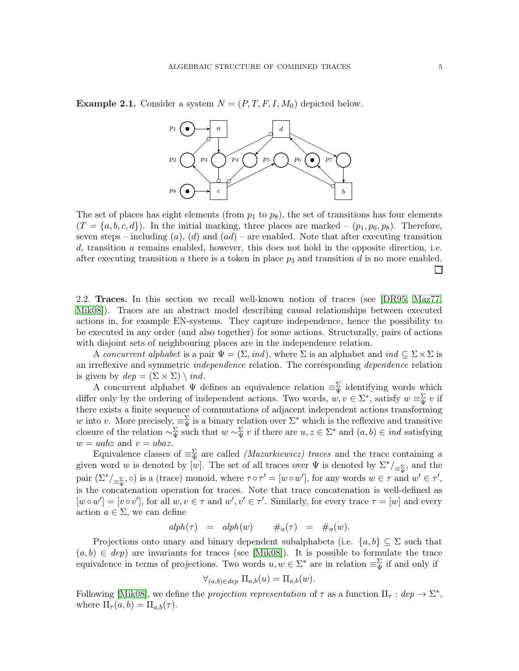<span id="page-4-0"></span>**Example 2.1.** Consider a system  $N = (P, T, F, I, M_0)$  depicted below.



The set of places has eight elements (from  $p_1$  to  $p_8$ ), the set of transitions has four elements  $(T = \{a, b, c, d\})$ . In the initial marking, three places are marked –  $(p_1, p_6, p_8)$ . Therefore, seven steps – including (a), (d) and  $(ad)$  – are enabled. Note that after executing transition d, transition a remains enabled, however, this does not hold in the opposite direction, i.e. after executing transition a there is a token in place  $p_3$  and transition d is no more enabled.  $\Box$ 

2.2. Traces. In this section we recall well-known notion of traces (see [\[DR95,](#page-25-3) [Maz77,](#page-25-1) [Mik08\]](#page-25-4)). Traces are an abstract model describing causal relationships between executed actions in, for example EN-systems. They capture independence, hence the possibility to be executed in any order (and also together) for some actions. Structurally, pairs of actions with disjoint sets of neighbouring places are in the independence relation.

A concurrent alphabet is a pair  $\Psi = (\Sigma, ind)$ , where  $\Sigma$  is an alphabet and  $ind \subseteq \Sigma \times \Sigma$  is an irreflexive and symmetric independence relation. The corresponding dependence relation is given by  $dep = (\Sigma \times \Sigma) \setminus ind.$ 

A concurrent alphabet  $\Psi$  defines an equivalence relation  $\equiv_{\Psi}^{\Sigma}$  identifying words which differ only by the ordering of independent actions. Two words,  $w, v \in \Sigma^*$ , satisfy  $w \equiv_{\Psi}^{\Sigma} v$  if there exists a finite sequence of commutations of adjacent independent actions transforming w into v. More precisely,  $\equiv_{\Psi}^{\Sigma}$  is a binary relation over  $\Sigma^*$  which is the reflexive and transitive closure of the relation  $\sim_{\Psi}^{\Sigma}$  such that  $w \sim_{\Psi}^{\Sigma} v$  if there are  $u, z \in \Sigma^*$  and  $(a, b) \in ind$  satisfying  $w = uabz$  and  $v = ubaz$ .

Equivalence classes of  $\equiv_{\Psi}^{\Sigma}$  are called *(Mazurkiewicz) traces* and the trace containing a given word w is denoted by [w]. The set of all traces over  $\Psi$  is denoted by  $\Sigma^* /_{\equiv \frac{\Sigma}{\Psi}}$ , and the pair  $(\Sigma^*)_{\equiv_w^{\Sigma}}, \circ)$  is a (trace) monoid, where  $\tau \circ \tau' = [w \circ w']$ , for any words  $w \in \tau$  and  $w' \in \tau'$ , is the concatenation operation for traces. Note that trace concatenation is well-defined as  $[w \circ w'] = [v \circ v']$ , for all  $w, v \in \tau$  and  $w', v' \in \tau'$ . Similarly, for every trace  $\tau = [w]$  and every action  $a \in \Sigma$ , we can define

$$
alpha(\tau) = alpha(w) + \#_a(\tau) = \#_a(w).
$$

Projections onto unary and binary dependent subalphabets (i.e.  $\{a, b\} \subseteq \Sigma$  such that  $(a, b) \in dep$ ) are invariants for traces (see [\[Mik08\]](#page-25-4)). It is possible to formulate the trace equivalence in terms of projections. Two words  $u, w \in \Sigma^*$  are in relation  $\equiv_{\Psi}^{\Sigma}$  if and only if

$$
\forall_{(a,b)\in dep}\ \Pi_{a,b}(u)=\Pi_{a,b}(w).
$$

Following [\[Mik08\]](#page-25-4), we define the *projection representation* of  $\tau$  as a function  $\Pi_{\tau}$ :  $dep \rightarrow \Sigma^*$ , where  $\Pi_{\tau}(a, b) = \Pi_{a, b}(\tau)$ .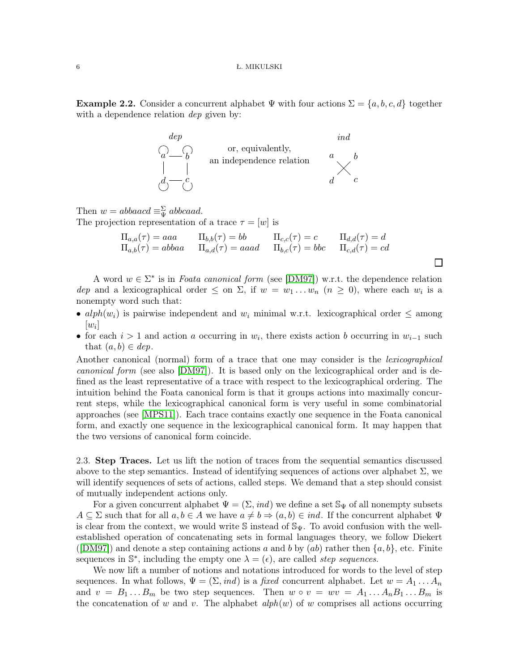**Example 2.2.** Consider a concurrent alphabet  $\Psi$  with four actions  $\Sigma = \{a, b, c, d\}$  together with a dependence relation *dep* given by:



Then  $w = abbaacd \equiv \frac{\sum}{\sum} abbcaad$ . The projection representation of a trace  $\tau = [w]$  is

$$
\Pi_{a,a}(\tau) = aaa \qquad \Pi_{b,b}(\tau) = bb \qquad \Pi_{c,c}(\tau) = c \qquad \Pi_{d,d}(\tau) = d
$$
  
\n
$$
\Pi_{a,b}(\tau) = abbaa \qquad \Pi_{a,d}(\tau) = aaad \qquad \Pi_{b,c}(\tau) = bbc \qquad \Pi_{c,d}(\tau) = cd
$$

 $\Box$ 

A word  $w \in \Sigma^*$  is in *Foata canonical form* (see [\[DM97\]](#page-25-5)) w.r.t. the dependence relation dep and a lexicographical order  $\leq$  on  $\Sigma$ , if  $w = w_1 \dots w_n$   $(n \geq 0)$ , where each  $w_i$  is a nonempty word such that:

- alph $(w_i)$  is pairwise independent and  $w_i$  minimal w.r.t. lexicographical order  $\leq$  among  $[w_i]$
- for each  $i > 1$  and action a occurring in  $w_i$ , there exists action b occurring in  $w_{i-1}$  such that  $(a, b) \in dep$ .

Another canonical (normal) form of a trace that one may consider is the *lexicographical* canonical form (see also [\[DM97\]](#page-25-5)). It is based only on the lexicographical order and is defined as the least representative of a trace with respect to the lexicographical ordering. The intuition behind the Foata canonical form is that it groups actions into maximally concurrent steps, while the lexicographical canonical form is very useful in some combinatorial approaches (see [\[MPS11\]](#page-25-6)). Each trace contains exactly one sequence in the Foata canonical form, and exactly one sequence in the lexicographical canonical form. It may happen that the two versions of canonical form coincide.

<span id="page-5-0"></span>2.3. Step Traces. Let us lift the notion of traces from the sequential semantics discussed above to the step semantics. Instead of identifying sequences of actions over alphabet  $\Sigma$ , we will identify sequences of sets of actions, called steps. We demand that a step should consist of mutually independent actions only.

For a given concurrent alphabet  $\Psi = (\Sigma, ind)$  we define a set  $\mathcal{S}_{\Psi}$  of all nonempty subsets  $A \subseteq \Sigma$  such that for all  $a, b \in A$  we have  $a \neq b \Rightarrow (a, b) \in ind$ . If the concurrent alphabet  $\Psi$ is clear from the context, we would write S instead of  $\mathcal{S}_{\Psi}$ . To avoid confusion with the wellestablished operation of concatenating sets in formal languages theory, we follow Diekert ([\[DM97\]](#page-25-5)) and denote a step containing actions a and b by  $(ab)$  rather then  $\{a, b\}$ , etc. Finite sequences in  $\mathbb{S}^*$ , including the empty one  $\lambda = (\epsilon)$ , are called *step sequences*.

We now lift a number of notions and notations introduced for words to the level of step sequences. In what follows,  $\Psi = (\Sigma, ind)$  is a fixed concurrent alphabet. Let  $w = A_1 \dots A_n$ and  $v = B_1 \dots B_m$  be two step sequences. Then  $w \circ v = wv = A_1 \dots A_n B_1 \dots B_m$  is the concatenation of w and v. The alphabet  $\alpha lph(w)$  of w comprises all actions occurring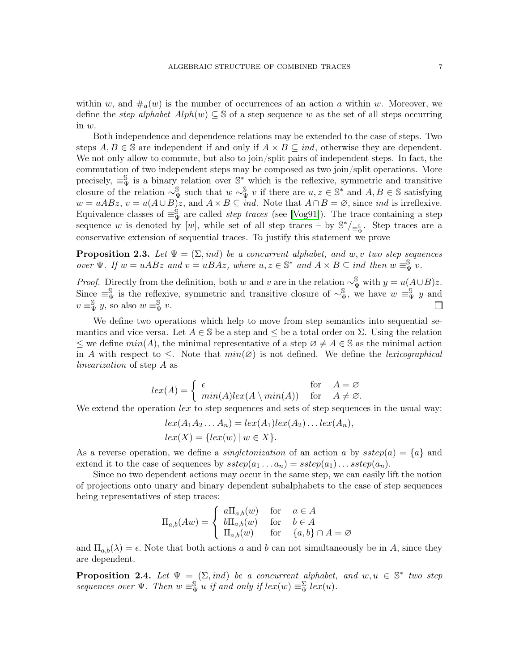within w, and  $\#_a(w)$  is the number of occurrences of an action a within w. Moreover, we define the *step alphabet*  $Alph(w) \subseteq \mathbb{S}$  of a step sequence w as the set of all steps occurring in w.

Both independence and dependence relations may be extended to the case of steps. Two steps  $A, B \in \mathbb{S}$  are independent if and only if  $A \times B \subseteq ind$ , otherwise they are dependent. We not only allow to commute, but also to join/split pairs of independent steps. In fact, the commutation of two independent steps may be composed as two join/split operations. More precisely,  $\equiv_{\Psi}^{\mathbb{S}}$  is a binary relation over  $\mathbb{S}^*$  which is the reflexive, symmetric and transitive closure of the relation  $\sim_{\Psi}^{\mathbb{S}}$  such that  $w \sim_{\Psi}^{\mathbb{S}} v$  if there are  $u, z \in \mathbb{S}^*$  and  $A, B \in \mathbb{S}$  satisfying  $w = uABz$ ,  $v = u(A \cup B)z$ , and  $A \times B \subseteq ind$ . Note that  $A \cap B = \emptyset$ , since *ind* is irreflexive. Equivalence classes of  $\equiv_{\Psi}^{\S}$  are called *step traces* (see [\[Vog91\]](#page-25-7)). The trace containing a step sequence w is denoted by [w], while set of all step traces – by  $\mathbb{S}^*/_{\equiv_{\Psi}^{\mathbb{S}}}$ . Step traces are a conservative extension of sequential traces. To justify this statement we prove

<span id="page-6-0"></span>**Proposition 2.3.** Let  $\Psi = (\Sigma, ind)$  be a concurrent alphabet, and w, v two step sequences over  $\Psi$ . If  $w = uABz$  and  $v = uBAz$ , where  $u, z \in \mathbb{S}^*$  and  $A \times B \subseteq \text{ind}$  then  $w = \frac{\mathbb{S}}{\Psi} v$ .

*Proof.* Directly from the definition, both w and v are in the relation  $\sim_{\Psi}^{\mathbb{S}}$  with  $y = u(A \cup B)z$ . Since  $\equiv_{\Psi}^{\mathbb{S}}$  is the reflexive, symmetric and transitive closure of  $\sim_{\Psi}^{\mathbb{S}}$ , we have  $w = \psi$  and  $v \equiv_{\Psi}^{\mathbb{S}} y$ , so also  $w \equiv_{\Psi}^{\mathbb{S}} v$ . П

We define two operations which help to move from step semantics into sequential semantics and vice versa. Let  $A \in \mathbb{S}$  be a step and  $\leq$  be a total order on  $\Sigma$ . Using the relation ≤ we define  $min(A)$ , the minimal representative of a step  $\emptyset \neq A \in \mathbb{S}$  as the minimal action in A with respect to  $\leq$ . Note that  $min(\emptyset)$  is not defined. We define the *lexicographical* linearization of step A as

$$
lex(A) = \begin{cases} \epsilon & \text{for} \quad A = \varnothing \\ min(A)lex(A \setminus min(A)) & \text{for} \quad A \neq \varnothing. \end{cases}
$$

We extend the operation  $lex$  to step sequences and sets of step sequences in the usual way:

$$
lex(A_1A_2...A_n) = lex(A_1)lex(A_2)...lex(A_n),
$$
  

$$
lex(X) = \{lex(w) \mid w \in X\}.
$$

As a reverse operation, we define a *singletonization* of an action a by  $\text{step}(a) = \{a\}$  and extend it to the case of sequences by  $\text{step}(a_1 \ldots a_n) = \text{step}(a_1) \ldots \text{step}(a_n)$ .

Since no two dependent actions may occur in the same step, we can easily lift the notion of projections onto unary and binary dependent subalphabets to the case of step sequences being representatives of step traces:

$$
\Pi_{a,b}(Aw) = \begin{cases} a\Pi_{a,b}(w) & \text{for} \quad a \in A \\ b\Pi_{a,b}(w) & \text{for} \quad b \in A \\ \Pi_{a,b}(w) & \text{for} \quad \{a,b\} \cap A = \varnothing \end{cases}
$$

and  $\Pi_{a,b}(\lambda) = \epsilon$ . Note that both actions a and b can not simultaneously be in A, since they are dependent.

<span id="page-6-1"></span>**Proposition 2.4.** Let  $\Psi = (\Sigma, ind)$  be a concurrent alphabet, and  $w, u \in \mathbb{S}^*$  two step sequences over  $\Psi$ . Then  $w \equiv_{\Psi}^{\mathbb{S}} u$  if and only if  $lex(w) \equiv_{\Psi}^{\Sigma} lex(u)$ .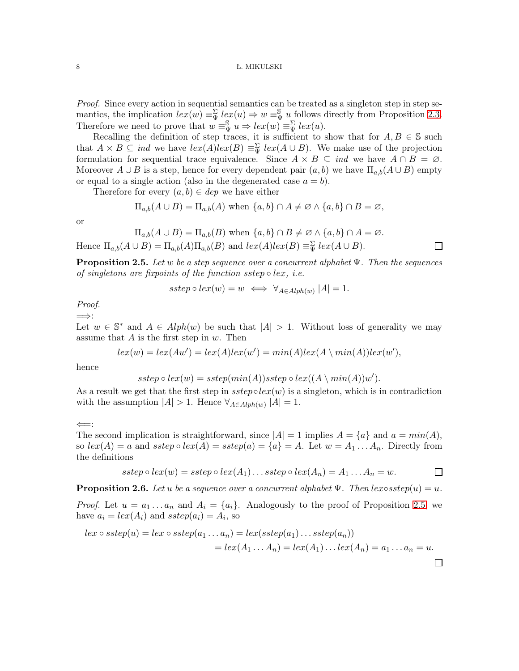Proof. Since every action in sequential semantics can be treated as a singleton step in step semantics, the implication  $lex(w) \equiv \frac{\sum v}{\sum w} \cdot (w) \Rightarrow w \equiv \frac{\sum v}{\sum w} \cdot (w)$  follows directly from Proposition [2.3.](#page-6-0) Therefore we need to prove that  $w = \frac{S}{\Psi} u \Rightarrow lex(w) = \frac{S}{\Psi} lex(u)$ .

Recalling the definition of step traces, it is sufficient to show that for  $A, B \in \mathbb{S}$  such that  $A \times B \subseteq ind$  we have  $lex(A)lex(B) \equiv_{\Psi} \{lex(A \cup B)$ . We make use of the projection formulation for sequential trace equivalence. Since  $A \times B \subseteq ind$  we have  $A \cap B = \emptyset$ . Moreover  $A \cup B$  is a step, hence for every dependent pair  $(a, b)$  we have  $\Pi_{a,b}(A \cup B)$  empty or equal to a single action (also in the degenerated case  $a = b$ ).

Therefore for every  $(a, b) \in dep$  we have either

$$
\Pi_{a,b}(A\cup B) = \Pi_{a,b}(A) \text{ when } \{a,b\} \cap A \neq \emptyset \land \{a,b\} \cap B = \emptyset,
$$

or

$$
\Pi_{a,b}(A \cup B) = \Pi_{a,b}(B) \text{ when } \{a,b\} \cap B \neq \emptyset \land \{a,b\} \cap A = \emptyset.
$$
  
Hence  $\Pi_{a,b}(A \cup B) = \Pi_{a,b}(A)\Pi_{a,b}(B)$  and  $lex(A)lex(B) \equiv_{\Psi}^{\Sigma} lex(A \cup B).$ 

<span id="page-7-0"></span>**Proposition 2.5.** Let w be a step sequence over a concurrent alphabet  $\Psi$ . Then the sequences of singletons are fixpoints of the function sstep  $\circ$  lex, i.e.

 $\Box$ 

 $\Box$ 

$$
sstep \circ lex(w) = w \iff \forall_{A \in Alph(w)} |A| = 1.
$$

Proof.

=⇒: Let  $w \in \mathbb{S}^*$  and  $A \in Alph(w)$  be such that  $|A| > 1$ . Without loss of generality we may assume that  $A$  is the first step in  $w$ . Then

$$
lex(w) = lex(Aw') = lex(A)lex(w') = min(A)lex(A \setminus min(A))lex(w'),
$$

hence

$$
sstep \circ lex(w) = sstep(min(A))step \circ lex((A \setminus min(A))w').
$$

As a result we get that the first step in  $step \circ lex(w)$  is a singleton, which is in contradiction with the assumption  $|A| > 1$ . Hence  $\forall_{A \in Alph(w)} |A| = 1$ .

⇐=:

have  $a_i = lex(A_i)$  and  $sstep(a_i) = A_i$ , so

The second implication is straightforward, since  $|A| = 1$  implies  $A = \{a\}$  and  $a = min(A)$ , so  $lex(A) = a$  and  $step \circ lex(A) = step(a) = \{a\} = A$ . Let  $w = A_1 ... A_n$ . Directly from the definitions

$$
sstep \circ lex(w) = sstep \circ lex(A_1) \dots sstep \circ lex(A_n) = A_1 \dots A_n = w.
$$

<span id="page-7-1"></span>**Proposition 2.6.** Let u be a sequence over a concurrent alphabet  $\Psi$ . Then lex∘sstep(u) = u. *Proof.* Let  $u = a_1 \ldots a_n$  and  $A_i = \{a_i\}$ . Analogously to the proof of Proposition [2.5,](#page-7-0) we

$$
lex \circ \, \text{step}(u) = lex \circ \, \text{step}(a_1 \dots a_n) = lex(\, \text{step}(a_1) \dots \, \text{step}(a_n))
$$
\n
$$
= lex(A_1 \dots A_n) = lex(A_1) \dots lex(A_n) = a_1 \dots a_n = u.
$$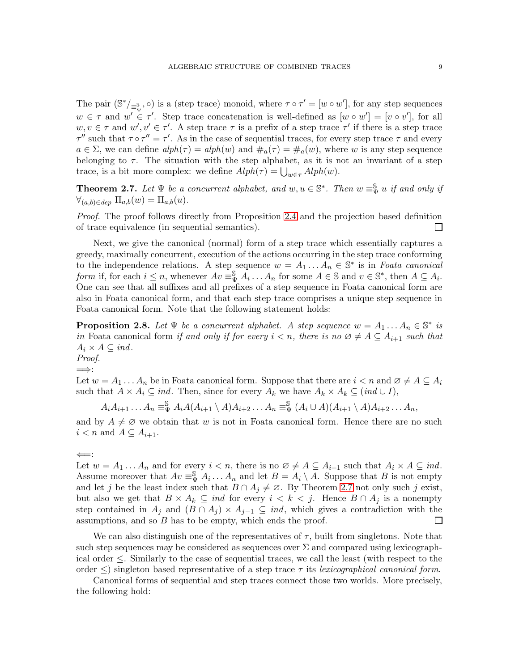The pair  $(\mathbb{S}^*/_{\equiv^{\mathbb{S}}_{w}}, \circ)$  is a (step trace) monoid, where  $\tau \circ \tau' = [w \circ w']$ , for any step sequences  $w \in \tau$  and  $w' \in \tau'$ . Step trace concatenation is well-defined as  $[w \circ w'] = [v \circ v']$ , for all  $w, v \in \tau$  and  $w', v' \in \tau'$ . A step trace  $\tau$  is a prefix of a step trace  $\tau'$  if there is a step trace  $\tau''$  such that  $\tau \circ \tau'' = \tau'$ . As in the case of sequential traces, for every step trace  $\tau$  and every  $a \in \Sigma$ , we can define  $alph(\tau) = alph(w)$  and  $\#_a(\tau) = \#_a(w)$ , where w is any step sequence belonging to  $\tau$ . The situation with the step alphabet, as it is not an invariant of a step trace, is a bit more complex: we define  $Alph(\tau) = \bigcup_{w \in \tau} Alph(w)$ .

<span id="page-8-0"></span>**Theorem 2.7.** Let  $\Psi$  be a concurrent alphabet, and  $w, u \in \mathbb{S}^*$ . Then  $w \equiv \mathbb{S}^* u$  if and only if  $\forall_{(a,b)\in dep} \Pi_{a,b}(w)=\Pi_{a,b}(u).$ 

Proof. The proof follows directly from Proposition [2.4](#page-6-1) and the projection based definition of trace equivalence (in sequential semantics).  $\Box$ 

Next, we give the canonical (normal) form of a step trace which essentially captures a greedy, maximally concurrent, execution of the actions occurring in the step trace conforming to the independence relations. A step sequence  $w = A_1 \dots \hat{A_n} \in \mathbb{S}^*$  is in Foata canonical form if, for each  $i \leq n$ , whenever  $Av \equiv^{\mathbb{S}}_{\Psi} A_i \dots A_n$  for some  $A \in \mathbb{S}$  and  $v \in \mathbb{S}^*$ , then  $A \subseteq A_i$ . One can see that all suffixes and all prefixes of a step sequence in Foata canonical form are also in Foata canonical form, and that each step trace comprises a unique step sequence in Foata canonical form. Note that the following statement holds:

**Proposition 2.8.** Let  $\Psi$  be a concurrent alphabet. A step sequence  $w = A_1 \dots A_n \in \mathbb{S}^*$  is in Foata canonical form if and only if for every  $i < n$ , there is no  $\emptyset \neq A \subseteq A_{i+1}$  such that  $A_i \times A \subseteq ind.$ Proof.

=⇒:

Let  $w = A_1 \dots A_n$  be in Foata canonical form. Suppose that there are  $i < n$  and  $\emptyset \neq A \subseteq A_i$ such that  $A \times A_i \subseteq ind$ . Then, since for every  $A_k$  we have  $A_k \times A_k \subseteq (ind \cup I)$ ,

 $A_iA_{i+1} \ldots A_n \equiv_{\Psi}^{\mathbb{S}} A_iA(A_{i+1} \setminus A)A_{i+2} \ldots A_n \equiv_{\Psi}^{\mathbb{S}} (A_i \cup A)(A_{i+1} \setminus A)A_{i+2} \ldots A_n,$ 

and by  $A \neq \emptyset$  we obtain that w is not in Foata canonical form. Hence there are no such  $i < n$  and  $A \subseteq A_{i+1}$ .

Let  $w = A_1 \dots A_n$  and for every  $i < n$ , there is no  $\emptyset \neq A \subseteq A_{i+1}$  such that  $A_i \times A \subseteq ind$ . Assume moreover that  $Av \equiv_{\Psi}^{\mathbb{S}} A_i \dots A_n$  and let  $B = A_i \setminus \overline{A}$ . Suppose that B is not empty and let j be the least index such that  $B \cap A_j \neq \emptyset$ . By Theorem [2.7](#page-8-0) not only such j exist, but also we get that  $B \times A_k \subseteq ind$  for every  $i < k < j$ . Hence  $B \cap A_j$  is a nonempty step contained in  $A_j$  and  $(B \cap A_j) \times A_{j-1} \subseteq ind$ , which gives a contradiction with the assumptions, and so B has to be empty, which ends the proof.  $\Box$ 

We can also distinguish one of the representatives of  $\tau$ , built from singletons. Note that such step sequences may be considered as sequences over  $\Sigma$  and compared using lexicographical order ≤. Similarly to the case of sequential traces, we call the least (with respect to the order  $\leq$ ) singleton based representative of a step trace  $\tau$  its lexicographical canonical form.

Canonical forms of sequential and step traces connect those two worlds. More precisely, the following hold:

<sup>⇐</sup>=: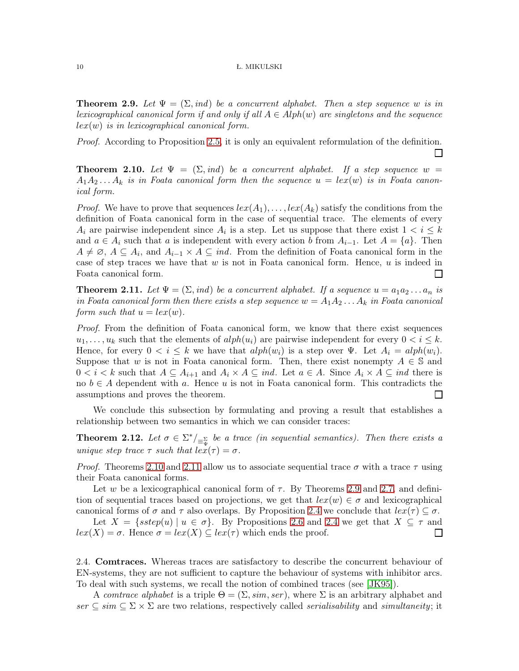<span id="page-9-2"></span>**Theorem 2.9.** Let  $\Psi = (\Sigma, ind)$  be a concurrent alphabet. Then a step sequence w is in lexicographical canonical form if and only if all  $A \in Alph(w)$  are singletons and the sequence  $lex(w)$  is in lexicographical canonical form.

Proof. According to Proposition [2.5,](#page-7-0) it is only an equivalent reformulation of the definition.

 $\Box$ 

<span id="page-9-0"></span>**Theorem 2.10.** Let  $\Psi = (\Sigma, ind)$  be a concurrent alphabet. If a step sequence  $w =$  $A_1A_2 \ldots A_k$  is in Foata canonical form then the sequence  $u = lex(w)$  is in Foata canonical form.

*Proof.* We have to prove that sequences  $lex(A_1), \ldots, lex(A_k)$  satisfy the conditions from the definition of Foata canonical form in the case of sequential trace. The elements of every  $A_i$  are pairwise independent since  $A_i$  is a step. Let us suppose that there exist  $1 < i \leq k$ and  $a \in A_i$  such that a is independent with every action b from  $A_{i-1}$ . Let  $A = \{a\}$ . Then  $A \neq \emptyset$ ,  $A \subseteq A_i$ , and  $A_{i-1} \times \overline{A} \subseteq \overline{ind}$ . From the definition of Foata canonical form in the case of step traces we have that  $w$  is not in Foata canonical form. Hence,  $u$  is indeed in Foata canonical form.  $\Box$ 

<span id="page-9-1"></span>**Theorem 2.11.** Let  $\Psi = (\Sigma, ind)$  be a concurrent alphabet. If a sequence  $u = a_1 a_2 \dots a_n$  is in Foata canonical form then there exists a step sequence  $w = A_1 A_2 \ldots A_k$  in Foata canonical form such that  $u = lex(w)$ .

Proof. From the definition of Foata canonical form, we know that there exist sequences  $u_1, \ldots, u_k$  such that the elements of  $alph(u_i)$  are pairwise independent for every  $0 < i \leq k$ . Hence, for every  $0 < i \leq k$  we have that  $alph(w_i)$  is a step over  $\Psi$ . Let  $A_i = alph(w_i)$ . Suppose that w is not in Foata canonical form. Then, there exist nonempty  $A \in \mathbb{S}$  and  $0 < i < k$  such that  $A \subseteq A_{i+1}$  and  $A_i \times A \subseteq ind$ . Let  $a \in A$ . Since  $A_i \times A \subseteq ind$  there is no  $b \in A$  dependent with a. Hence u is not in Foata canonical form. This contradicts the assumptions and proves the theorem.  $\Box$ 

We conclude this subsection by formulating and proving a result that establishes a relationship between two semantics in which we can consider traces:

<span id="page-9-3"></span>**Theorem 2.12.** Let  $\sigma \in \Sigma^* /_{\equiv \frac{\Sigma}{\Psi}}$  be a trace (in sequential semantics). Then there exists a unique step trace  $\tau$  such that  $lex(\tau) = \sigma$ .

*Proof.* Theorems [2.10](#page-9-0) and [2.11](#page-9-1) allow us to associate sequential trace  $\sigma$  with a trace  $\tau$  using their Foata canonical forms.

Let w be a lexicographical canonical form of  $\tau$ . By Theorems [2.9](#page-9-2) and [2.7,](#page-8-0) and definition of sequential traces based on projections, we get that  $lex(w) \in \sigma$  and lexicographical canonical forms of  $\sigma$  and  $\tau$  also overlaps. By Proposition [2.4](#page-6-1) we conclude that  $lex(\tau) \subseteq \sigma$ .

Let  $X = \{sstep(u) \mid u \in \sigma\}$ . By Propositions [2.6](#page-7-1) and [2.4](#page-6-1) we get that  $X \subseteq \tau$  and  $lex(X) = \sigma$ . Hence  $\sigma = lex(X) \subseteq lex(\tau)$  which ends the proof.  $\Box$ 

2.4. Comtraces. Whereas traces are satisfactory to describe the concurrent behaviour of EN-systems, they are not sufficient to capture the behaviour of systems with inhibitor arcs. To deal with such systems, we recall the notion of combined traces (see [\[JK95\]](#page-25-2)).

A comtrace alphabet is a triple  $\Theta = (\Sigma, \text{sim}, \text{ser})$ , where  $\Sigma$  is an arbitrary alphabet and  $ser \subseteq sim \subseteq \Sigma \times \Sigma$  are two relations, respectively called *serialisability* and *simultaneity*; it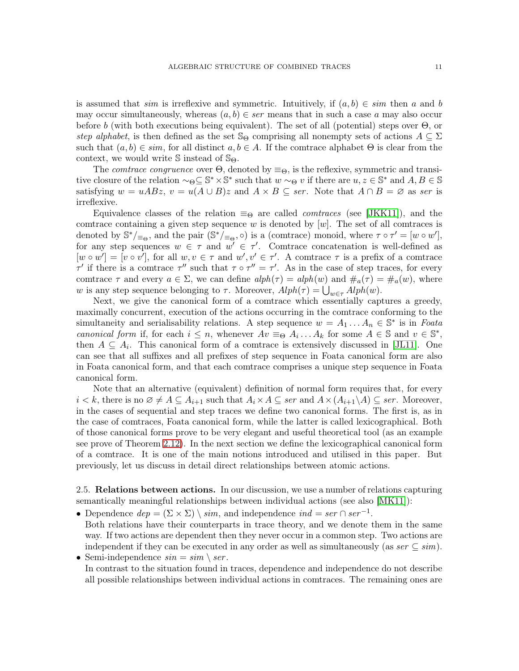is assumed that sim is irreflexive and symmetric. Intuitively, if  $(a, b) \in sim$  then a and b may occur simultaneously, whereas  $(a, b) \in ser$  means that in such a case a may also occur before b (with both executions being equivalent). The set of all (potential) steps over  $\Theta$ , or step alphabet, is then defined as the set  $\mathbb{S}_{\Theta}$  comprising all nonempty sets of actions  $A \subseteq \Sigma$ such that  $(a, b) \in sim$ , for all distinct  $a, b \in A$ . If the comtrace alphabet  $\Theta$  is clear from the context, we would write  $\mathbb S$  instead of  $\mathbb S_{\Theta}$ .

The *comtrace congruence* over  $\Theta$ , denoted by  $\equiv_{\Theta}$ , is the reflexive, symmetric and transitive closure of the relation  $\sim_{\Theta} \subseteq \mathbb{S}^* \times \mathbb{S}^*$  such that  $w \sim_{\Theta} v$  if there are  $u, z \in \mathbb{S}^*$  and  $A, B \in \mathbb{S}$ satisfying  $w = uABz$ ,  $v = u(A \cup B)z$  and  $A \times B \subseteq ser$ . Note that  $A \cap B = \emptyset$  as ser is irreflexive.

Equivalence classes of the relation  $\equiv_{\Theta}$  are called *comtraces* (see [\[JKK11\]](#page-25-8)), and the comtrace containing a given step sequence w is denoted by  $[w]$ . The set of all comtraces is denoted by  $\mathbb{S}^*/_{\equiv_{\Theta}}$ , and the pair  $(\mathbb{S}^*/_{\equiv_{\Theta}}, \circ)$  is a (comtrace) monoid, where  $\tau \circ \tau' = [w \circ w']$ , for any step sequences  $w \in \tau$  and  $w' \in \tau'$ . Comtrace concatenation is well-defined as  $[w \circ w'] = [v \circ v']$ , for all  $w, v \in \tau$  and  $w', v' \in \tau'$ . A comtrace  $\tau$  is a prefix of a comtrace  $\tau'$  if there is a comtrace  $\tau''$  such that  $\tau \circ \tau'' = \tau'$ . As in the case of step traces, for every comtrace  $\tau$  and every  $a \in \Sigma$ , we can define  $\alpha$ ,  $a \neq b$  and  $\mu_a(\tau) = \mu_a(\tau) = \mu_a(\tau)$ , where w is any step sequence belonging to  $\tau$ . Moreover,  $Alph(\tau) = \bigcup_{w \in \tau} Alph(w)$ .

Next, we give the canonical form of a comtrace which essentially captures a greedy, maximally concurrent, execution of the actions occurring in the comtrace conforming to the simultaneity and serialisability relations. A step sequence  $w = A_1 \dots A_n \in \mathbb{S}^*$  is in Foata canonical form if, for each  $i \leq n$ , whenever  $Av \equiv_{\Theta} A_i \dots A_k$  for some  $A \in \mathbb{S}$  and  $v \in \mathbb{S}^*$ , then  $A \subseteq A_i$ . This canonical form of a comtrace is extensively discussed in [\[JL11\]](#page-25-9). One can see that all suffixes and all prefixes of step sequence in Foata canonical form are also in Foata canonical form, and that each comtrace comprises a unique step sequence in Foata canonical form.

Note that an alternative (equivalent) definition of normal form requires that, for every  $i < k$ , there is no  $\emptyset \neq A \subseteq A_{i+1}$  such that  $A_i \times A \subseteq \text{ser}$  and  $A \times (A_{i+1} \setminus A) \subseteq \text{ser}$ . Moreover, in the cases of sequential and step traces we define two canonical forms. The first is, as in the case of comtraces, Foata canonical form, while the latter is called lexicographical. Both of those canonical forms prove to be very elegant and useful theoretical tool (as an example see prove of Theorem [2.12\)](#page-9-3). In the next section we define the lexicographical canonical form of a comtrace. It is one of the main notions introduced and utilised in this paper. But previously, let us discuss in detail direct relationships between atomic actions.

2.5. Relations between actions. In our discussion, we use a number of relations capturing semantically meaningful relationships between individual actions (see also [\[MK11\]](#page-25-10)):

- Dependence  $dep = (\Sigma \times \Sigma) \setminus sim$ , and independence  $ind = ser \cap ser^{-1}$ . Both relations have their counterparts in trace theory, and we denote them in the same way. If two actions are dependent then they never occur in a common step. Two actions are independent if they can be executed in any order as well as simultaneously (as  $ser \subseteq sim$ ).
- Semi-independence  $sin = sim \setminus ser$ . In contrast to the situation found in traces, dependence and independence do not describe all possible relationships between individual actions in comtraces. The remaining ones are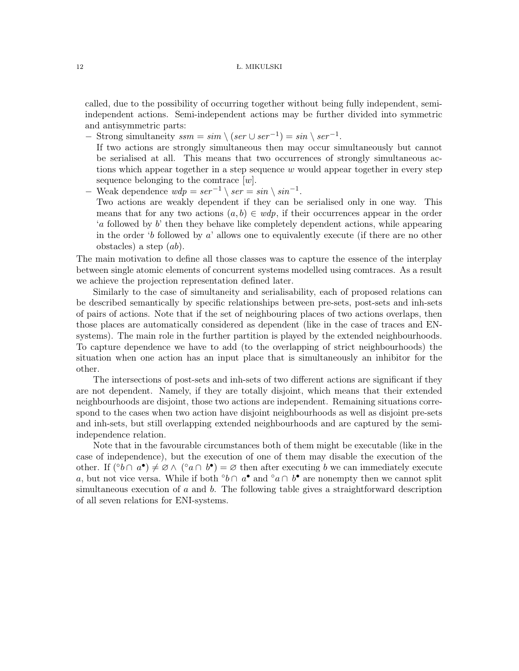called, due to the possibility of occurring together without being fully independent, semiindependent actions. Semi-independent actions may be further divided into symmetric and antisymmetric parts:

− Strong simultaneity  $ssm = sim \setminus (ser \cup ser^{-1}) = sin \setminus ser^{-1}$ .

obstacles) a step  $(ab)$ .

- If two actions are strongly simultaneous then may occur simultaneously but cannot be serialised at all. This means that two occurrences of strongly simultaneous actions which appear together in a step sequence w would appear together in every step sequence belonging to the comtrace  $[w]$ .
- − Weak dependence  $wdp = ser^{-1} \setminus ser = sin \setminus sin^{-1}$ . Two actions are weakly dependent if they can be serialised only in one way. This means that for any two actions  $(a, b) \in wdp$ , if their occurrences appear in the order 'a followed by b' then they behave like completely dependent actions, while appearing in the order 'b followed by  $a'$  allows one to equivalently execute (if there are no other

The main motivation to define all those classes was to capture the essence of the interplay between single atomic elements of concurrent systems modelled using comtraces. As a result we achieve the projection representation defined later.

Similarly to the case of simultaneity and serialisability, each of proposed relations can be described semantically by specific relationships between pre-sets, post-sets and inh-sets of pairs of actions. Note that if the set of neighbouring places of two actions overlaps, then those places are automatically considered as dependent (like in the case of traces and ENsystems). The main role in the further partition is played by the extended neighbourhoods. To capture dependence we have to add (to the overlapping of strict neighbourhoods) the situation when one action has an input place that is simultaneously an inhibitor for the other.

The intersections of post-sets and inh-sets of two different actions are significant if they are not dependent. Namely, if they are totally disjoint, which means that their extended neighbourhoods are disjoint, those two actions are independent. Remaining situations correspond to the cases when two action have disjoint neighbourhoods as well as disjoint pre-sets and inh-sets, but still overlapping extended neighbourhoods and are captured by the semiindependence relation.

Note that in the favourable circumstances both of them might be executable (like in the case of independence), but the execution of one of them may disable the execution of the other. If  $({}^{\circ}b \cap a^{\bullet}) \neq \emptyset \wedge ({}^{\circ}a \cap b^{\bullet}) = \emptyset$  then after executing b we can immediately execute a, but not vice versa. While if both ◦ b ∩ a • and ◦a ∩ b • are nonempty then we cannot split simultaneous execution of a and b. The following table gives a straightforward description of all seven relations for ENI-systems.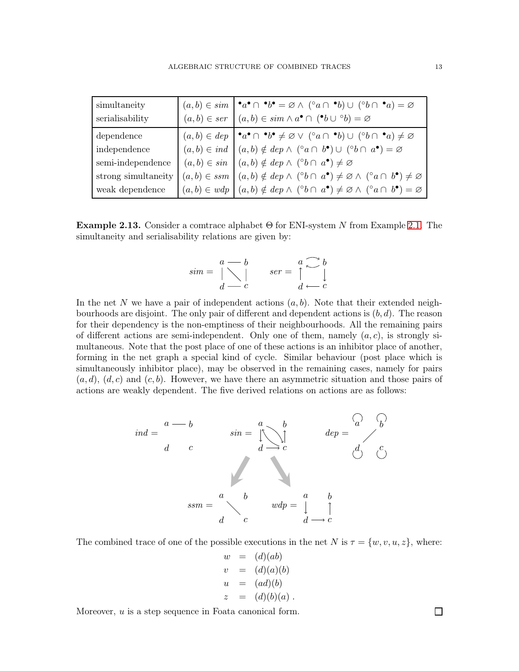| simultaneity        | $(a,b) \in sim \mid \cdot_a \cdot \cap \cdot b \cdot \cdot \cdot \emptyset$ $\land$ $(\circ_a \cap \cdot_b) \cup (\circ_b \cap \cdot_a) = \varnothing$                                                                                                                  |
|---------------------|-------------------------------------------------------------------------------------------------------------------------------------------------------------------------------------------------------------------------------------------------------------------------|
| serialisability     | $(a,b) \in ser \mid (a,b) \in sim \wedge a^{\bullet} \cap (^{\bullet}b \cup {}^{\circ}b) = \varnothing$                                                                                                                                                                 |
| dependence          |                                                                                                                                                                                                                                                                         |
| independence        | $(a, b) \in dep$ $\mathbf{a} \cap \mathbf{b} \neq \emptyset \vee (\degree a \cap \mathbf{b}) \cup (\degree b \cap \mathbf{a}) \neq \emptyset$<br>$(a, b) \in ind$ $(a, b) \notin dep \wedge (\degree a \cap b^{\bullet}) \cup (\degree b \cap a^{\bullet}) = \emptyset$ |
| semi-independence   | $(a,b) \in \sin \mid (a,b) \notin \text{dep} \land (\text{°}b \cap a^{\bullet}) \neq \varnothing$                                                                                                                                                                       |
| strong simultaneity | $(a,b) \in ssm \mid (a,b) \notin dep \wedge (^\circ b \cap a^\bullet) \neq \varnothing \wedge (^\circ a \cap b^\bullet) \neq \varnothing$                                                                                                                               |
| weak dependence     | $(a,b)\in\mathit{wdp}\,\bigm (a,b)\notin\mathit{dep}\ \wedge\ (\mathrm{^{\circ}b}\cap\ a^{\bullet})\neq\varnothing\ \wedge\ (\mathrm{^{\circ}a}\cap\ b^{\bullet})=\varnothing$                                                                                          |

<span id="page-12-0"></span>**Example 2.13.** Consider a comtrace alphabet  $\Theta$  for ENI-system N from Example [2.1.](#page-4-0) The simultaneity and serialisability relations are given by:

$$
sim = \bigvee_{d=-c}^{a-b} \qquad ser = \bigwedge_{d=-c}^{a-c} \bigvee_{d}
$$

In the net N we have a pair of independent actions  $(a, b)$ . Note that their extended neighbourhoods are disjoint. The only pair of different and dependent actions is  $(b, d)$ . The reason for their dependency is the non-emptiness of their neighbourhoods. All the remaining pairs of different actions are semi-independent. Only one of them, namely  $(a, c)$ , is strongly simultaneous. Note that the post place of one of these actions is an inhibitor place of another, forming in the net graph a special kind of cycle. Similar behaviour (post place which is simultaneously inhibitor place), may be observed in the remaining cases, namely for pairs  $(a, d)$ ,  $(d, c)$  and  $(c, b)$ . However, we have there an asymmetric situation and those pairs of actions are weakly dependent. The five derived relations on actions are as follows:



The combined trace of one of the possible executions in the net N is  $\tau = \{w, v, u, z\}$ , where:

$$
w = (d)(ab)
$$
  
\n
$$
v = (d)(a)(b)
$$
  
\n
$$
u = (ad)(b)
$$
  
\n
$$
z = (d)(b)(a)
$$
.

Moreover, u is a step sequence in Foata canonical form.

 $\Box$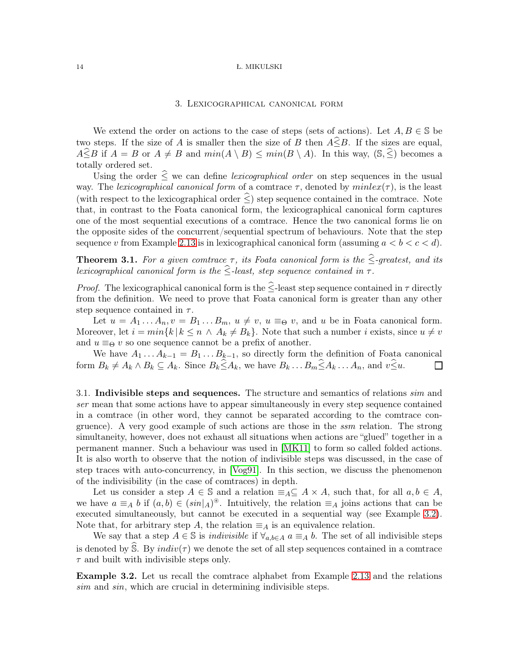### 3. Lexicographical canonical form

We extend the order on actions to the case of steps (sets of actions). Let  $A, B \in \mathbb{S}$  be two steps. If the size of A is smaller then the size of B then  $A\widehat{\leq}B$ . If the sizes are equal,  $A\widehat{\leq}B$  if  $A = B$  or  $A \neq B$  and  $min(A \setminus B) \leq min(B \setminus A)$ . In this way,  $(\mathbb{S}, \widehat{\le})$  becomes a totally ordered set.

Using the order  $\leq$  we can define *lexicographical order* on step sequences in the usual way. The lexicographical canonical form of a comtrace  $\tau$ , denoted by  $minlex(\tau)$ , is the least (with respect to the lexicographical order  $\leq$ ) step sequence contained in the comtrace. Note that, in contrast to the Foata canonical form, the lexicographical canonical form captures one of the most sequential executions of a comtrace. Hence the two canonical forms lie on the opposite sides of the concurrent/sequential spectrum of behaviours. Note that the step sequence v from Example [2.13](#page-12-0) is in lexicographical canonical form (assuming  $a < b < c < d$ ).

**Theorem 3.1.** For a given comtrace  $\tau$ , its Foata canonical form is the  $\hat{\leq}$ -greatest, and its lexicographical canonical form is the  $\hat{\le}$ -least, step sequence contained in  $\tau$ .

*Proof.* The lexicographical canonical form is the  $\leq$ -least step sequence contained in  $\tau$  directly from the definition. We need to prove that Foata canonical form is greater than any other step sequence contained in  $\tau$ .

Let  $u = A_1 \dots A_n, v = B_1 \dots B_m, u \neq v, u \equiv_{\Theta} v$ , and u be in Foata canonical form. Moreover, let  $i = min\{k \mid k \leq n \land A_k \neq B_k\}$ . Note that such a number i exists, since  $u \neq v$ and  $u \equiv_{\Theta} v$  so one sequence cannot be a prefix of another.

We have  $A_1 \ldots A_{k-1} = B_1 \ldots B_{k-1}$ , so directly form the definition of Foata canonical form  $B_k \neq A_k \wedge B_k \subseteq A_k$ . Since  $B_k \widehat{\leq} A_k$ , we have  $B_k \dots B_m \widehat{\leq} A_k \dots A_n$ , and  $v \widehat{\leq} u$ .  $\Box$ 

3.1. Indivisible steps and sequences. The structure and semantics of relations *sim* and ser mean that some actions have to appear simultaneously in every step sequence contained in a comtrace (in other word, they cannot be separated according to the comtrace congruence). A very good example of such actions are those in the ssm relation. The strong simultaneity, however, does not exhaust all situations when actions are "glued" together in a permanent manner. Such a behaviour was used in [\[MK11\]](#page-25-10) to form so called folded actions. It is also worth to observe that the notion of indivisible steps was discussed, in the case of step traces with auto-concurrency, in [\[Vog91\]](#page-25-7). In this section, we discuss the phenomenon of the indivisibility (in the case of comtraces) in depth.

Let us consider a step  $A \in \mathbb{S}$  and a relation  $\equiv_A \subseteq A \times A$ , such that, for all  $a, b \in A$ , we have  $a \equiv_A b$  if  $(a, b) \in (sin|_A)^*$ . Intuitively, the relation  $\equiv_A j \text{oins}$  actions that can be executed simultaneously, but cannot be executed in a sequential way (see Example [3.2\)](#page-13-0). Note that, for arbitrary step A, the relation  $\equiv_A$  is an equivalence relation.

We say that a step  $A \in \mathbb{S}$  is *indivisible* if  $\forall_{a,b \in A}$   $a \equiv_A b$ . The set of all indivisible steps is denoted by S. By  $indiv(\tau)$  we denote the set of all step sequences contained in a comtrace  $\tau$  and built with indivisible steps only.

<span id="page-13-0"></span>Example 3.2. Let us recall the comtrace alphabet from Example [2.13](#page-12-0) and the relations sim and sin, which are crucial in determining indivisible steps.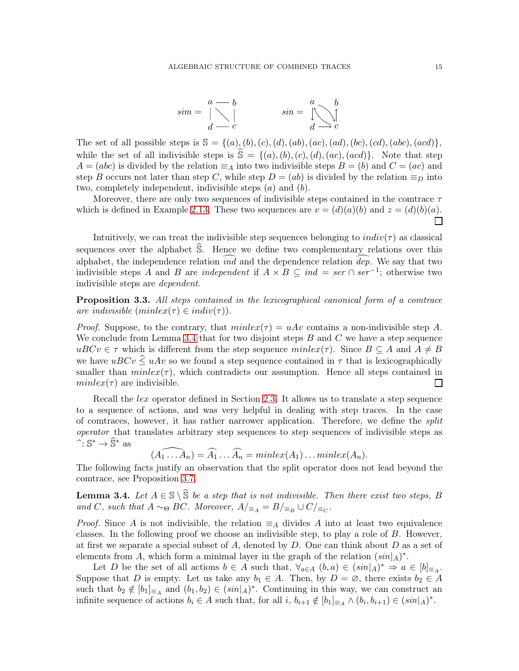$$
sim = \bigwedge_{d=-c}^{a=-b} \qquad \qquad sin = \bigwedge_{d=-c}^{a} \bigwedge_{e}^{b}
$$

The set of all possible steps is  $\mathbb{S} = \{(a), (b), (c), (d), (ab), (ac), (ad), (bc), (cd), (abc), (acd)\},$ while the set of all indivisible steps is  $\hat{\mathbb{S}} = \{(a), (b), (c), (d), (ac), (acd)\}.$  Note that step  $A = (abc)$  is divided by the relation  $\equiv_A$  into two indivisible steps  $B = (b)$  and  $C = (ac)$  and step B occurs not later than step C, while step  $D = (ab)$  is divided by the relation  $\equiv_D$  into two, completely independent, indivisible steps  $(a)$  and  $(b)$ .

Moreover, there are only two sequences of indivisible steps contained in the comtrace  $\tau$ which is defined in Example [2.13.](#page-12-0) These two sequences are  $v = (d)(a)(b)$  and  $z = (d)(b)(a)$ .  $\Box$ 

Intuitively, we can treat the indivisible step sequences belonging to  $indiv(\tau)$  as classical sequences over the alphabet  $\hat{S}$ . Hence we define two complementary relations over this alphabet, the independence relation  $\widehat{ind}$  and the dependence relation  $\widehat{dep}$ . We say that two indivisible steps A and B are *independent* if  $A \times B \subseteq ind = ser \cap ser^{-1}$ ; otherwise two indivisible steps are dependent.

Proposition 3.3. All steps contained in the lexicographical canonical form of a comtrace are indivisible  $(minlex(\tau) \in indiv(\tau))$ .

*Proof.* Suppose, to the contrary, that  $minlex(\tau) = uAv$  contains a non-indivisible step A. We conclude from Lemma [3.4](#page-14-0) that for two disjoint steps  $B$  and  $C$  we have a step sequence  $uBCv \in \tau$  which is different from the step sequence  $minlex(\tau)$ . Since  $B \subseteq A$  and  $A \neq B$ we have  $uBCv \leq uAv$  so we found a step sequence contained in  $\tau$  that is lexicographically smaller than  $minlex(\tau)$ , which contradicts our assumption. Hence all steps contained in  $minlex(\tau)$  are indivisible. П

Recall the *lex* operator defined in Section [2.3.](#page-5-0) It allows us to translate a step sequence to a sequence of actions, and was very helpful in dealing with step traces. In the case of comtraces, however, it has rather narrower application. Therefore, we define the split operator that translates arbitrary step sequences to step sequences of indivisible steps as  $\hat{\mathbb{S}}^* \to \hat{\mathbb{S}}^*$  as

 $\widehat{(A_1 \dots A_n)} = \widehat{A_1} \dots \widehat{A_n} = \text{minlex}(A_1) \dots \text{minlex}(A_n).$ 

The following facts justify an observation that the split operator does not lead beyond the comtrace, see Proposition [3.7.](#page-16-0)

<span id="page-14-0"></span>**Lemma 3.4.** Let  $A \in \mathbb{S} \setminus \hat{\mathbb{S}}$  be a step that is not indivisible. Then there exist two steps, B and C, such that  $A \sim_{\Theta} BC$ . Moreover,  $A/_{\equiv_A} = B/_{\equiv_B} \cup C/_{\equiv_C}$ .

*Proof.* Since A is not indivisible, the relation  $\equiv_A$  divides A into at least two equivalence classes. In the following proof we choose an indivisible step, to play a role of  $B$ . However, at first we separate a special subset of A, denoted by  $D$ . One can think about  $D$  as a set of elements from A, which form a minimal layer in the graph of the relation  $(sin|_A)^*$ .

Let D be the set of all actions  $b \in A$  such that,  $\forall_{a \in A} (b, a) \in (sin|_A)^* \Rightarrow a \in [b]_{\equiv_A}$ . Suppose that D is empty. Let us take any  $b_1 \in A$ . Then, by  $D = \emptyset$ , there exists  $b_2 \in A$ such that  $b_2 \notin [b_1]_{\equiv_A}$  and  $(b_1, b_2) \in (sin|_A)^*$ . Continuing in this way, we can construct an infinite sequence of actions  $b_i \in A$  such that, for all  $i, b_{i+1} \notin [b_1]_{\equiv_A} \wedge (b_i, b_{i+1}) \in (sin|_A)^*$ .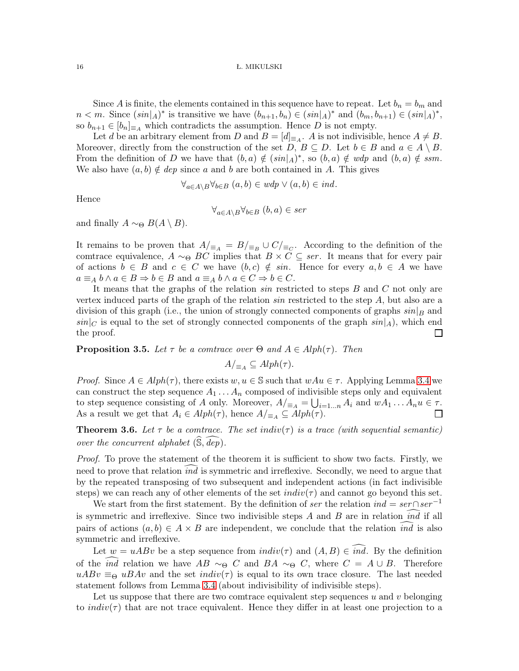Since A is finite, the elements contained in this sequence have to repeat. Let  $b_n = b_m$  and  $n < m$ . Since  $(sin|_A)^*$  is transitive we have  $(b_{n+1}, b_n) \in (sin|_A)^*$  and  $(b_m, b_{n+1}) \in (sin|_A)^*$ , so  $b_{n+1} \in [b_n]_{\equiv A}$  which contradicts the assumption. Hence D is not empty.

Let d be an arbitrary element from D and  $B = [d]_{\equiv_A}$ . A is not indivisible, hence  $A \neq B$ . Moreover, directly from the construction of the set  $D, B \subseteq D$ . Let  $b \in B$  and  $a \in A \setminus B$ . From the definition of D we have that  $(b, a) \notin (sin|_A)^*$ , so  $(b, a) \notin wdp$  and  $(b, a) \notin ssm$ . We also have  $(a, b) \notin dep$  since a and b are both contained in A. This gives

$$
\forall_{a \in A \setminus B} \forall_{b \in B} (a, b) \in wdp \vee (a, b) \in ind.
$$

Hence

$$
\forall_{a \in A \setminus B} \forall_{b \in B} (b, a) \in ser
$$

and finally  $A \sim_{\Theta} B(A \setminus B)$ .

It remains to be proven that  $A/_{\equiv_A} = B/_{\equiv_B} \cup C/_{\equiv_C}$ . According to the definition of the comtrace equivalence,  $A \sim_{\Theta} BC$  implies that  $B \times C \subseteq$  ser. It means that for every pair of actions  $b \in B$  and  $c \in C$  we have  $(b, c) \notin \sin$ . Hence for every  $a, b \in A$  we have  $a \equiv_A b \land a \in B \Rightarrow b \in B$  and  $a \equiv_A b \land a \in C \Rightarrow b \in C$ .

It means that the graphs of the relation sin restricted to steps B and C not only are vertex induced parts of the graph of the relation sin restricted to the step A, but also are a division of this graph (i.e., the union of strongly connected components of graphs  $sin|_B$  and  $sin|_C$  is equal to the set of strongly connected components of the graph  $sin|_A$ , which end the proof.  $\mathsf{L}$ 

**Proposition 3.5.** Let  $\tau$  be a comtrace over  $\Theta$  and  $A \in Alph(\tau)$ . Then

$$
A/_{\equiv_A} \subseteq Alph(\tau).
$$

*Proof.* Since  $A \in Alph(\tau)$ , there exists  $w, u \in \mathbb{S}$  such that  $wAu \in \tau$ . Applying Lemma [3.4](#page-14-0) we can construct the step sequence  $A_1 \ldots A_n$  composed of indivisible steps only and equivalent to step sequence consisting of A only. Moreover,  $A/_{\equiv_A} = \bigcup_{i=1...n} A_i$  and  $wA_1 \dots A_n u \in \tau$ . As a result we get that  $A_i \in Alph(\tau)$ , hence  $A/_{\equiv_A} \subseteq Alph(\tau)$ .

<span id="page-15-0"></span>**Theorem 3.6.** Let  $\tau$  be a comtrace. The set indiv( $\tau$ ) is a trace (with sequential semantic) over the concurrent alphabet  $(\mathbb{S}, \overline{dep})$ .

Proof. To prove the statement of the theorem it is sufficient to show two facts. Firstly, we need to prove that relation *ind* is symmetric and irreflexive. Secondly, we need to argue that by the repeated transposing of two subsequent and independent actions (in fact indivisible steps) we can reach any of other elements of the set  $indiv(\tau)$  and cannot go beyond this set.

We start from the first statement. By the definition of ser the relation  $ind = ser \cap ser^{-1}$ is symmetric and irreflexive. Since two indivisible steps  $A$  and  $B$  are in relation  $ind$  if all pairs of actions  $(a, b) \in A \times B$  are independent, we conclude that the relation *ind* is also symmetric and irreflexive.

Let  $w = uABv$  be a step sequence from  $indiv(\tau)$  and  $(A, B) \in ind$ . By the definition of the *ind* relation we have  $AB \sim_{\Theta} C$  and  $BA \sim_{\Theta} C$ , where  $C = A \cup B$ . Therefore  $uABv \equiv_{\Theta} uBAv$  and the set  $indiv(\tau)$  is equal to its own trace closure. The last needed statement follows from Lemma [3.4](#page-14-0) (about indivisibility of indivisible steps).

Let us suppose that there are two comtrace equivalent step sequences  $u$  and  $v$  belonging to *indiv*( $\tau$ ) that are not trace equivalent. Hence they differ in at least one projection to a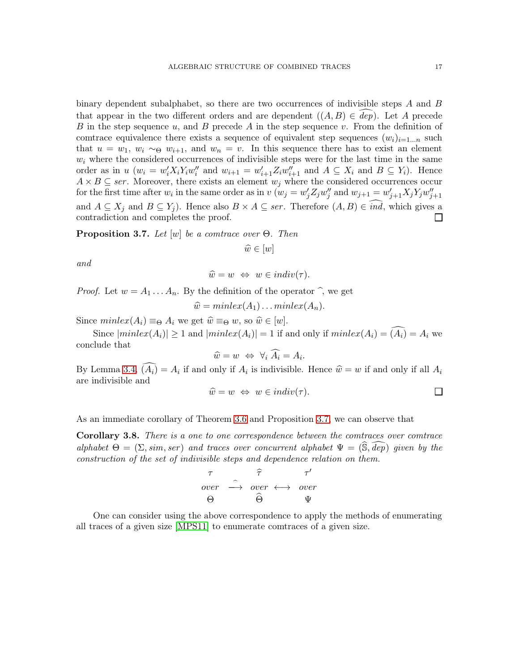binary dependent subalphabet, so there are two occurrences of indivisible steps  $A$  and  $B$ that appear in the two different orders and are dependent  $((A, B) \in dep)$ . Let A precede B in the step sequence u, and B precede A in the step sequence v. From the definition of comtrace equivalence there exists a sequence of equivalent step sequences  $(w_i)_{i=1...n}$  such that  $u = w_1, w_i \sim_{\Theta} w_{i+1}$ , and  $w_n = v$ . In this sequence there has to exist an element  $w_i$  where the considered occurrences of indivisible steps were for the last time in the same order as in  $u(w_i = w'_i X_i Y_i w''_i$  and  $w_{i+1} = w'_{i+1} Z_i w''_{i+1}$  and  $A \subseteq X_i$  and  $B \subseteq Y_i$ ). Hence  $A \times B \subseteq$  ser. Moreover, there exists an element  $w_j$  where the considered occurrences occur for the first time after  $w_i$  in the same order as in  $v(w_j = w'_j Z_j w''_j$  and  $w_{j+1} = w'_{j+1} X_j Y_j w''_{j+1}$ and  $A \subseteq X_j$  and  $B \subseteq Y_j$ ). Hence also  $B \times A \subseteq ser$ . Therefore  $(A, B) \in ind$ , which gives a contradiction and completes the proof. contradiction and completes the proof.

<span id="page-16-0"></span>**Proposition 3.7.** Let  $[w]$  be a comtrace over  $\Theta$ . Then

$$
\widehat{w} \in [w]
$$

and

$$
\widehat{w} = w \Leftrightarrow w \in indiv(\tau).
$$

*Proof.* Let  $w = A_1 \ldots A_n$ . By the definition of the operator  $\hat{\ }$ , we get

 $\hat{w} = minlex(A_1) \dots minlex(A_n).$ 

Since  $minlex(A_i) \equiv_{\Theta} A_i$  we get  $\widehat{w} \equiv_{\Theta} w$ , so  $\widehat{w} \in [w]$ .

Since  $|minlex(A_i)| \geq 1$  and  $|minlex(A_i)| = 1$  if and only if  $minlex(A_i) = \widehat{(A_i)} = A_i$  we conclude that

$$
\widehat{w} = w \Leftrightarrow \forall_i \widehat{A_i} = A_i.
$$

By Lemma [3.4,](#page-14-0)  $(A_i) = A_i$  if and only if  $A_i$  is indivisible. Hence  $\hat{w} = w$  if and only if all  $A_i$ are indivisible and

$$
\widehat{w} = w \Leftrightarrow w \in indiv(\tau).
$$

As an immediate corollary of Theorem [3.6](#page-15-0) and Proposition [3.7,](#page-16-0) we can observe that

<span id="page-16-1"></span>Corollary 3.8. There is a one to one correspondence between the comtraces over comtrace alphabet  $\Theta = (\Sigma, \text{sim}, \text{ser})$  and traces over concurrent alphabet  $\Psi = (\hat{\mathbb{S}}, \hat{dep})$  given by the construction of the set of indivisible steps and dependence relation on them.



One can consider using the above correspondence to apply the methods of enumerating all traces of a given size [\[MPS11\]](#page-25-6) to enumerate comtraces of a given size.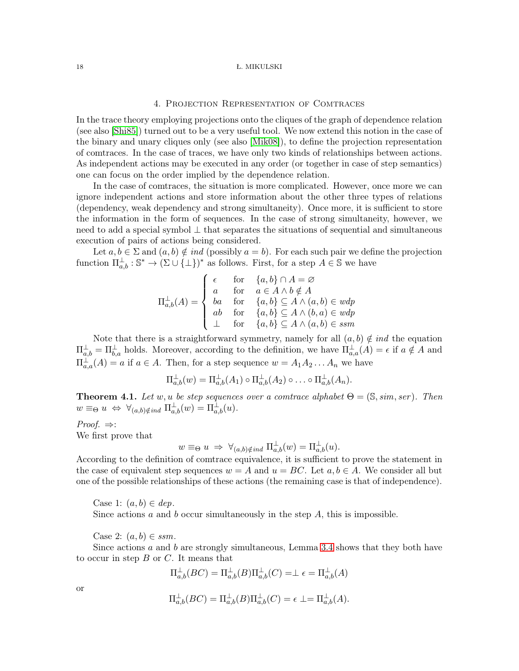## 4. Projection Representation of Comtraces

In the trace theory employing projections onto the cliques of the graph of dependence relation (see also [\[Shi85\]](#page-25-11)) turned out to be a very useful tool. We now extend this notion in the case of the binary and unary cliques only (see also [\[Mik08\]](#page-25-4)), to define the projection representation of comtraces. In the case of traces, we have only two kinds of relationships between actions. As independent actions may be executed in any order (or together in case of step semantics) one can focus on the order implied by the dependence relation.

In the case of comtraces, the situation is more complicated. However, once more we can ignore independent actions and store information about the other three types of relations (dependency, weak dependency and strong simultaneity). Once more, it is sufficient to store the information in the form of sequences. In the case of strong simultaneity, however, we need to add a special symbol  $\perp$  that separates the situations of sequential and simultaneous execution of pairs of actions being considered.

Let  $a, b \in \Sigma$  and  $(a, b) \notin ind$  (possibly  $a = b$ ). For each such pair we define the projection function  $\Pi_{a,b}^{\perp} : \mathbb{S}^* \to (\Sigma \cup \{\perp\})^*$  as follows. First, for a step  $A \in \mathbb{S}$  we have

$$
\Pi_{a,b}^{\perp}(A) = \begin{cases}\n\epsilon & \text{for} \quad \{a,b\} \cap A = \varnothing \\
a & \text{for} \quad a \in A \land b \notin A \\
ba & \text{for} \quad \{a,b\} \subseteq A \land (a,b) \in wdp \\
ab & \text{for} \quad \{a,b\} \subseteq A \land (b,a) \in wdp \\
\perp & \text{for} \quad \{a,b\} \subseteq A \land (a,b) \in ssm\n\end{cases}
$$

Note that there is a straightforward symmetry, namely for all  $(a, b) \notin ind$  the equation  $\Pi_{a,b}^{\perp} = \Pi_{b,a}^{\perp}$  holds. Moreover, according to the definition, we have  $\Pi_{a,a}^{\perp}(A) = \epsilon$  if  $a \notin A$  and  $\Pi_{a,a}^{\perp}(A) = a$  if  $a \in A$ . Then, for a step sequence  $w = A_1 A_2 \dots A_n$  we have

$$
\Pi_{a,b}^{\perp}(w) = \Pi_{a,b}^{\perp}(A_1) \circ \Pi_{a,b}^{\perp}(A_2) \circ \ldots \circ \Pi_{a,b}^{\perp}(A_n).
$$

<span id="page-17-0"></span>**Theorem 4.1.** Let w, u be step sequences over a comtrace alphabet  $\Theta = (\mathbb{S}, \text{sim}, \text{ser})$ . Then  $w \equiv_{\Theta} u \Leftrightarrow \forall_{(a,b)\notin ind} \Pi^{\perp}_{a,b}(w) = \Pi^{\perp}_{a,b}(u).$ 

*Proof.*  $⇒$ : We first prove that

$$
w \equiv_{\Theta} u \Rightarrow \forall_{(a,b)\notin ind} \Pi_{a,b}^{\perp}(w) = \Pi_{a,b}^{\perp}(u).
$$

According to the definition of comtrace equivalence, it is sufficient to prove the statement in the case of equivalent step sequences  $w = A$  and  $u = BC$ . Let  $a, b \in A$ . We consider all but one of the possible relationships of these actions (the remaining case is that of independence).

Case 1:  $(a, b) \in dep$ .

Since actions a and b occur simultaneously in the step  $A$ , this is impossible.

Case 2:  $(a, b) \in ssm$ .

Since actions  $a$  and  $b$  are strongly simultaneous, Lemma [3.4](#page-14-0) shows that they both have to occur in step  $B$  or  $C$ . It means that

$$
\Pi_{a,b}^\perp (BC) = \Pi_{a,b}^\perp (B) \Pi_{a,b}^\perp (C) = \perp \epsilon = \Pi_{a,b}^\perp (A)
$$

or

$$
\Pi_{a,b}^{\perp}(BC) = \Pi_{a,b}^{\perp}(B)\Pi_{a,b}^{\perp}(C) = \epsilon \perp = \Pi_{a,b}^{\perp}(A).
$$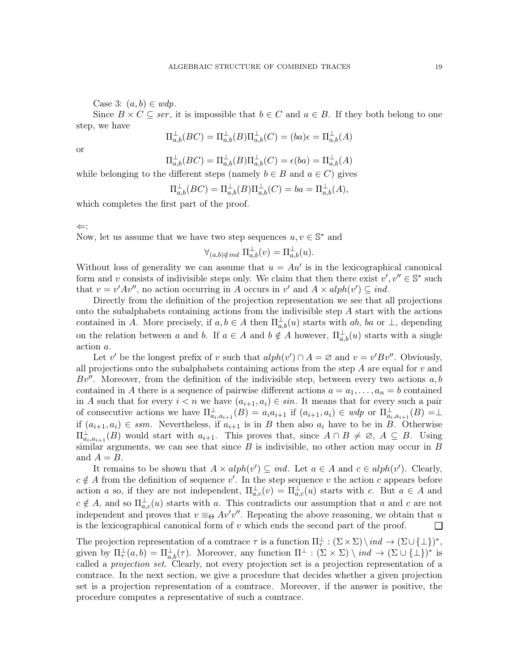Case 3:  $(a, b) \in wdp$ .

Since  $B \times C \subseteq$  ser, it is impossible that  $b \in C$  and  $a \in B$ . If they both belong to one step, we have

$$
\Pi_{a,b}^{\perp}(BC) = \Pi_{a,b}^{\perp}(B)\Pi_{a,b}^{\perp}(C) = (ba)\epsilon = \Pi_{a,b}^{\perp}(A)
$$

or

 $\Pi_{a,b}^{\perp}(BC)=\Pi_{a,b}^{\perp}(B)\Pi_{a,b}^{\perp}(C)=\epsilon(ba)=\Pi_{a,b}^{\perp}(A)$ 

while belonging to the different steps (namely  $b \in B$  and  $a \in C$ ) gives

$$
\Pi_{a,b}^{\perp}(BC) = \Pi_{a,b}^{\perp}(B)\Pi_{a,b}^{\perp}(C) = ba = \Pi_{a,b}^{\perp}(A),
$$

which completes the first part of the proof.

⇐:

Now, let us assume that we have two step sequences  $u, v \in \mathbb{S}^*$  and

$$
\forall_{(a,b)\notin ind} \; \Pi_{a,b}^{\perp}(v) = \Pi_{a,b}^{\perp}(u).
$$

Without loss of generality we can assume that  $u = Au'$  is in the lexicographical canonical form and v consists of indivisible steps only. We claim that then there exist  $v', v'' \in \mathbb{S}^*$  such that  $v = v'Av''$ , no action occurring in A occurs in v' and  $A \times alph(v') \subseteq ind$ .

Directly from the definition of the projection representation we see that all projections onto the subalphabets containing actions from the indivisible step  $A$  start with the actions contained in A. More precisely, if  $a, b \in A$  then  $\Pi_{a,b}^{\perp}(u)$  starts with ab, ba or  $\perp$ , depending on the relation between a and b. If  $a \in A$  and  $b \notin A$  however,  $\Pi_{a,b}^{\perp}(u)$  starts with a single action a.

Let v' be the longest prefix of v such that  $alph(v') \cap A = \emptyset$  and  $v = v'Bv''$ . Obviously, all projections onto the subalphabets containing actions from the step  $A$  are equal for  $v$  and Bv''. Moreover, from the definition of the indivisible step, between every two actions  $a, b$ contained in A there is a sequence of pairwise different actions  $a = a_1, \ldots, a_n = b$  contained in A such that for every  $i < n$  we have  $(a_{i+1}, a_i) \in \mathfrak{sin}$ . It means that for every such a pair of consecutive actions we have  $\Pi_{a_i,a_{i+1}}^{\perp}(B) = a_i a_{i+1}$  if  $(a_{i+1}, a_i) \in wdp$  or  $\Pi_{a_i,a_{i+1}}^{\perp}(B) = \perp$ if  $(a_{i+1}, a_i) \in ssm$ . Nevertheless, if  $a_{i+1}$  is in B then also  $a_i$  have to be in B. Otherwise  $\Pi_{a_i,a_{i+1}}^{\perp}(B)$  would start with  $a_{i+1}$ . This proves that, since  $A \cap B \neq \emptyset$ ,  $A \subseteq B$ . Using similar arguments, we can see that since  $B$  is indivisible, no other action may occur in  $B$ and  $A = B$ .

It remains to be shown that  $A \times alph(v') \subseteq ind$ . Let  $a \in A$  and  $c \in alph(v')$ . Clearly,  $c \notin A$  from the definition of sequence v'. In the step sequence v the action c appears before action a so, if they are not independent,  $\Pi_{a,c}^{\perp}(v) = \Pi_{a,c}^{\perp}(u)$  starts with c. But  $a \in A$  and  $c \notin A$ , and so  $\Pi_{a,c}^{\perp}(u)$  starts with a. This contradicts our assumption that a and c are not independent and proves that  $v \equiv_{\Theta} Av'v''$ . Repeating the above reasoning, we obtain that u is the lexicographical canonical form of  $v$  which ends the second part of the proof.  $\Box$ 

The projection representation of a comtrace  $\tau$  is a function  $\Pi_{\tau}^{\perp} : (\Sigma \times \Sigma) \setminus ind \to (\Sigma \cup \{\perp\})^*,$ given by  $\Pi^{\perp}_{\tau}(a,b) = \Pi^{\perp}_{a,b}(\tau)$ . Moreover, any function  $\Pi^{\perp} : (\Sigma \times \Sigma) \setminus \text{ind} \to (\Sigma \cup {\perp})^*$  is called a projection set. Clearly, not every projection set is a projection representation of a comtrace. In the next section, we give a procedure that decides whether a given projection set is a projection representation of a comtrace. Moreover, if the answer is positive, the procedure computes a representative of such a comtrace.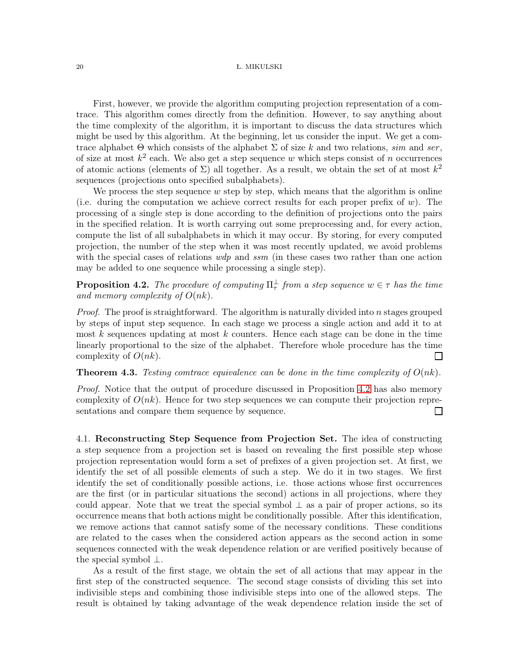First, however, we provide the algorithm computing projection representation of a comtrace. This algorithm comes directly from the definition. However, to say anything about the time complexity of the algorithm, it is important to discuss the data structures which might be used by this algorithm. At the beginning, let us consider the input. We get a comtrace alphabet  $\Theta$  which consists of the alphabet  $\Sigma$  of size k and two relations, sim and ser, of size at most  $k^2$  each. We also get a step sequence w which steps consist of n occurrences of atomic actions (elements of  $\Sigma$ ) all together. As a result, we obtain the set of at most  $k^2$ sequences (projections onto specified subalphabets).

We process the step sequence  $w$  step by step, which means that the algorithm is online (i.e. during the computation we achieve correct results for each proper prefix of  $w$ ). The processing of a single step is done according to the definition of projections onto the pairs in the specified relation. It is worth carrying out some preprocessing and, for every action, compute the list of all subalphabets in which it may occur. By storing, for every computed projection, the number of the step when it was most recently updated, we avoid problems with the special cases of relations  $wdp$  and ssm (in these cases two rather than one action may be added to one sequence while processing a single step).

<span id="page-19-0"></span>**Proposition 4.2.** The procedure of computing  $\Pi^{\perp}_{\tau}$  from a step sequence  $w \in \tau$  has the time and memory complexity of  $O(nk)$ .

Proof. The proof is straightforward. The algorithm is naturally divided into n stages grouped by steps of input step sequence. In each stage we process a single action and add it to at most  $k$  sequences updating at most  $k$  counters. Hence each stage can be done in the time linearly proportional to the size of the alphabet. Therefore whole procedure has the time complexity of  $O(nk)$ .  $\Box$ 

# **Theorem 4.3.** Testing comtrace equivalence can be done in the time complexity of  $O(nk)$ .

Proof. Notice that the output of procedure discussed in Proposition [4.2](#page-19-0) has also memory complexity of  $O(nk)$ . Hence for two step sequences we can compute their projection representations and compare them sequence by sequence. П

4.1. Reconstructing Step Sequence from Projection Set. The idea of constructing a step sequence from a projection set is based on revealing the first possible step whose projection representation would form a set of prefixes of a given projection set. At first, we identify the set of all possible elements of such a step. We do it in two stages. We first identify the set of conditionally possible actions, i.e. those actions whose first occurrences are the first (or in particular situations the second) actions in all projections, where they could appear. Note that we treat the special symbol  $\perp$  as a pair of proper actions, so its occurrence means that both actions might be conditionally possible. After this identification, we remove actions that cannot satisfy some of the necessary conditions. These conditions are related to the cases when the considered action appears as the second action in some sequences connected with the weak dependence relation or are verified positively because of the special symbol ⊥.

As a result of the first stage, we obtain the set of all actions that may appear in the first step of the constructed sequence. The second stage consists of dividing this set into indivisible steps and combining those indivisible steps into one of the allowed steps. The result is obtained by taking advantage of the weak dependence relation inside the set of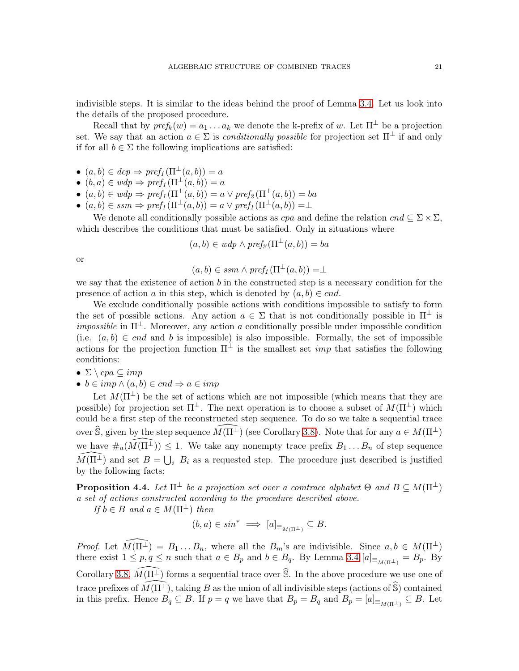indivisible steps. It is similar to the ideas behind the proof of Lemma [3.4.](#page-14-0) Let us look into the details of the proposed procedure.

Recall that by  $pref_k(w)=a_1\ldots a_k$  we denote the k-prefix of w. Let  $\Pi^{\perp}$  be a projection set. We say that an action  $a \in \Sigma$  is *conditionally possible* for projection set  $\Pi^{\perp}$  if and only if for all  $b \in \Sigma$  the following implications are satisfied:

- $(a, b) \in dep \Rightarrow pref_1(\Pi^{\perp}(a, b)) = a$
- $(b, a) \in wdp \Rightarrow pref_1(\Pi^{\perp}(a, b)) = a$
- $(a, b) \in wdp \Rightarrow prefix_1(\Pi^{\perp}(a, b)) = a \vee prefix_2(\Pi^{\perp}(a, b)) = ba$
- $(a, b) \in ssm \Rightarrow pref_1(\Pi^{\perp}(a, b)) = a \vee pref_1(\Pi^{\perp}(a, b)) = \perp$

We denote all conditionally possible actions as  $cpa$  and define the relation  $cnd \subseteq \Sigma \times \Sigma$ , which describes the conditions that must be satisfied. Only in situations where

$$
(a,b) \in wdp \land pref_{\mathcal{Z}}(\Pi^{\perp}(a,b)) = ba
$$

or

$$
(a,b)\in ssm \wedge pref_1(\Pi^{\perp}(a,b))=\perp
$$

we say that the existence of action  $b$  in the constructed step is a necessary condition for the presence of action a in this step, which is denoted by  $(a, b) \in cnd$ .

We exclude conditionally possible actions with conditions impossible to satisfy to form the set of possible actions. Any action  $a \in \Sigma$  that is not conditionally possible in  $\Pi^{\perp}$  is *impossible* in  $\Pi^{\perp}$ . Moreover, any action a conditionally possible under impossible condition (i.e.  $(a, b) \in cnd$  and b is impossible) is also impossible. Formally, the set of impossible actions for the projection function  $\Pi^{\perp}$  is the smallest set *imp* that satisfies the following conditions:

- $\Sigma \setminus cpa \subseteq imp$
- $b \in \text{imp} \land (a, b) \in \text{cnd} \Rightarrow a \in \text{imp}$

Let  $M(\Pi^{\perp})$  be the set of actions which are not impossible (which means that they are possible) for projection set  $\Pi^{\perp}$ . The next operation is to choose a subset of  $M(\Pi^{\perp})$  which could be a first step of the reconstructed step sequence. To do so we take a sequential trace over  $\widehat{\mathbb{S}}$ , given by the step sequence  $M(\Pi^{\perp})$  (see Corollary [3.8\)](#page-16-1). Note that for any  $a \in M(\Pi^{\perp})$ we have  $\#_a(\widehat{M(\Pi^{\perp})}) \leq 1$ . We take any nonempty trace prefix  $B_1 \dots B_n$  of step sequence  $\widehat{M}(\Pi^{\perp})$  and set  $B = \bigcup_i B_i$  as a requested step. The procedure just described is justified by the following facts:

**Proposition 4.4.** Let  $\Pi^{\perp}$  be a projection set over a comtrace alphabet  $\Theta$  and  $B \subseteq M(\Pi^{\perp})$ a set of actions constructed according to the procedure described above.

If  $b \in B$  and  $a \in M(\Pi^{\perp})$  then

$$
(b,a) \in \sin^* \implies [a]_{\equiv_{M(\Pi^\perp)}} \subseteq B.
$$

*Proof.* Let  $\widehat{M(\Pi^{\perp})} = B_1 \dots B_n$ , where all the  $B_m$ 's are indivisible. Since  $a, b \in M(\Pi^{\perp})$ there exist  $1 \leq p, q \leq n$  such that  $a \in B_p$  and  $b \in B_q$ . By Lemma [3.4](#page-14-0)  $[a]_{\equiv_{M(\Pi^{\perp})}} = B_p$ . By Corollary [3.8,](#page-16-1)  $\widehat{M(\Pi^{\perp})}$  forms a sequential trace over  $\widehat{\mathbb{S}}$ . In the above procedure we use one of trace prefixes of  $\widehat{M(\Pi^{\perp})}$ , taking B as the union of all indivisible steps (actions of  $\widehat{S}$ ) contained in this prefix. Hence  $B_q \subseteq B$ . If  $p = q$  we have that  $B_p = B_q$  and  $B_p = [a]_{\equiv_{M(\Pi^{\perp})}} \subseteq B$ . Let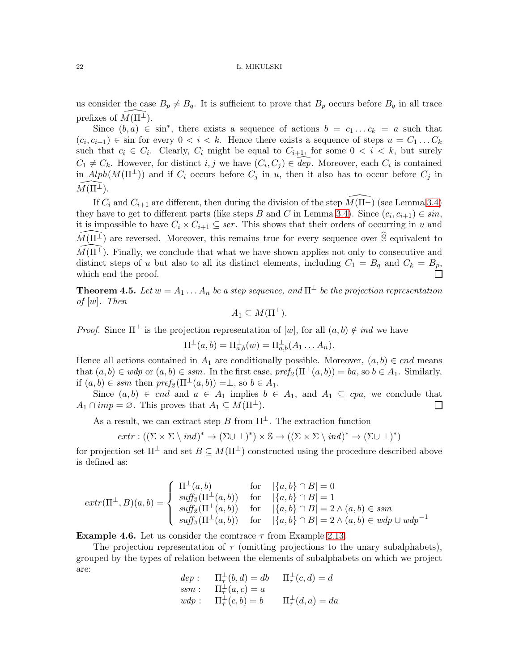us consider the case  $B_p \neq B_q$ . It is sufficient to prove that  $B_p$  occurs before  $B_q$  in all trace prefixes of  $M(\Pi^{\perp})$ .

Since  $(b, a) \in \sin^*$ , there exists a sequence of actions  $b = c_1 \dots c_k = a$  such that  $(c_i, c_{i+1}) \in \text{sin}$  for every  $0 \lt i \lt k$ . Hence there exists a sequence of steps  $u = C_1 \dots C_k$ such that  $c_i \in C_i$ . Clearly,  $C_i$  might be equal to  $C_{i+1}$ , for some  $0 \leq i \leq k$ , but surely  $C_1 \neq C_k$ . However, for distinct i, j we have  $(C_i, C_j) \in dep$ . Moreover, each  $C_i$  is contained in  $Alph(M(\Pi^{\perp}))$  and if  $C_i$  occurs before  $C_j$  in u, then it also has to occur before  $C_j$  in  $M(\Pi^{\perp}).$ 

If  $C_i$  and  $C_{i+1}$  are different, then during the division of the step  $\widehat{M(\Pi^{\perp})}$  (see Lemma [3.4\)](#page-14-0) they have to get to different parts (like steps B and C in Lemma [3.4\)](#page-14-0). Since  $(c_i, c_{i+1}) \in \sin$ , it is impossible to have  $C_i \times C_{i+1} \subseteq ser$ . This shows that their orders of occurring in u and  $M(\Pi^{\perp})$  are reversed. Moreover, this remains true for every sequence over  $\hat{\mathbb{S}}$  equivalent to  $M(\Pi^{\perp})$ . Finally, we conclude that what we have shown applies not only to consecutive and distinct steps of u but also to all its distinct elements, including  $C_1 = B_q$  and  $C_k = B_p$ , which end the proof.

**Theorem 4.5.** Let  $w = A_1 \dots A_n$  be a step sequence, and  $\Pi^{\perp}$  be the projection representation of  $[w]$ . Then

$$
A_1 \subseteq M(\Pi^{\perp}).
$$

*Proof.* Since  $\Pi^{\perp}$  is the projection representation of  $[w]$ , for all  $(a, b) \notin ind$  we have

$$
\Pi^{\perp}(a,b)=\Pi^{\perp}_{a,b}(w)=\Pi^{\perp}_{a,b}(A_1\ldots A_n).
$$

Hence all actions contained in  $A_1$  are conditionally possible. Moreover,  $(a, b) \in cnd$  means that  $(a, b) \in wdp$  or  $(a, b) \in ssm$ . In the first case,  $pref_2(\Pi^{\perp}(a, b)) = ba$ , so  $b \in A_1$ . Similarly, if  $(a, b) \in s$  then  $pref_2(\Pi^{\perp}(a, b)) = \perp$ , so  $b \in A_1$ .

Since  $(a, b) \in cnd$  and  $a \in A_1$  implies  $b \in A_1$ , and  $A_1 \subseteq cpa$ , we conclude that  $A_1 \cap imp = \emptyset$ . This proves that  $A_1 \subseteq M(\Pi^{\perp})$ .  $\Box$ 

As a result, we can extract step B from  $\Pi^{\perp}$ . The extraction function

$$
extr: ((\Sigma \times \Sigma \setminus ind)^* \to (\Sigma \cup \bot)^*) \times \mathbb{S} \to ((\Sigma \times \Sigma \setminus ind)^* \to (\Sigma \cup \bot)^*)
$$

for projection set  $\Pi^{\perp}$  and set  $B \subseteq M(\Pi^{\perp})$  constructed using the procedure described above is defined as:

$$
extr(\Pi^{\perp},B)(a,b) = \begin{cases} \Pi^{\perp}(a,b) & \text{for} \quad |\{a,b\} \cap B| = 0 \\ \text{suffix}(\Pi^{\perp}(a,b)) & \text{for} \quad |\{a,b\} \cap B| = 1 \\ \text{suffix}(\Pi^{\perp}(a,b)) & \text{for} \quad |\{a,b\} \cap B| = 2 \land (a,b) \in \text{ssm} \\ \text{suffix}(\Pi^{\perp}(a,b)) & \text{for} \quad |\{a,b\} \cap B| = 2 \land (a,b) \in \text{ssm} \end{cases}
$$

**Example 4.6.** Let us consider the comtrace  $\tau$  from Example [2.13.](#page-12-0)

The projection representation of  $\tau$  (omitting projections to the unary subalphabets), grouped by the types of relation between the elements of subalphabets on which we project are:

 $dep: \quad \Pi^\perp_\tau(b, d) = db \quad \Pi^\perp_\tau(c, d) = d$  $ssm$ :  $\Pi^{\perp}_{\tau}(a,c) = a$  $wdp: \quad \Pi^{\perp}_{\tau}(c,b) = b \quad \Pi^{\perp}_{\tau}(d,a) = da$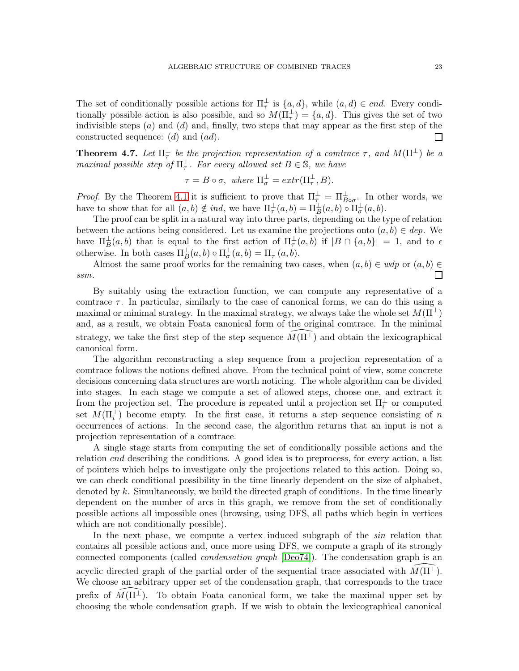The set of conditionally possible actions for  $\Pi^{\perp}_{\tau}$  is  $\{a, d\}$ , while  $(a, d) \in end$ . Every conditionally possible action is also possible, and so  $M(\Pi_{\tau}^{\perp}) = \{a, d\}$ . This gives the set of two indivisible steps  $(a)$  and  $(d)$  and, finally, two steps that may appear as the first step of the constructed sequence: (d) and (ad). ⊔

<span id="page-22-0"></span>**Theorem 4.7.** Let  $\Pi^{\perp}_{\tau}$  be the projection representation of a comtrace  $\tau$ , and  $M(\Pi^{\perp})$  be a maximal possible step of  $\Pi^{\perp}_{\tau}$ . For every allowed set  $B \in \mathbb{S}$ , we have

$$
\tau = B \circ \sigma, \text{ where } \Pi_{\sigma}^{\perp} = extr(\Pi_{\tau}^{\perp}, B).
$$

*Proof.* By the Theorem [4.1](#page-17-0) it is sufficient to prove that  $\Pi^{\perp}_{\tau} = \Pi^{\perp}_{B \circ \sigma}$ . In other words, we have to show that for all  $(a, b) \notin ind$ , we have  $\Pi^{\perp}_{\tau}(a, b) = \Pi^{\perp}_{B}(a, b) \circ \Pi^{\perp}_{\sigma}(a, b)$ .

The proof can be split in a natural way into three parts, depending on the type of relation between the actions being considered. Let us examine the projections onto  $(a, b) \in dep$ . We have  $\Pi_B^{\perp}(a, b)$  that is equal to the first action of  $\Pi_{\tau}^{\perp}(a, b)$  if  $|B \cap \{a, b\}| = 1$ , and to  $\epsilon$ otherwise. In both cases  $\Pi_B^{\perp}(a, b) \circ \Pi_{\sigma}^{\perp}(a, b) = \Pi_{\tau}^{\perp}(a, b)$ .

Almost the same proof works for the remaining two cases, when  $(a, b) \in wdp$  or  $(a, b) \in$ ssm.  $\Box$ 

By suitably using the extraction function, we can compute any representative of a comtrace  $\tau$ . In particular, similarly to the case of canonical forms, we can do this using a maximal or minimal strategy. In the maximal strategy, we always take the whole set  $M(\Pi^{\perp})$ and, as a result, we obtain Foata canonical form of the original comtrace. In the minimal strategy, we take the first step of the step sequence  $\widehat{M}(\Pi^{\perp})$  and obtain the lexicographical canonical form.

The algorithm reconstructing a step sequence from a projection representation of a comtrace follows the notions defined above. From the technical point of view, some concrete decisions concerning data structures are worth noticing. The whole algorithm can be divided into stages. In each stage we compute a set of allowed steps, choose one, and extract it from the projection set. The procedure is repeated until a projection set  $\Pi_i^{\perp}$  or computed set  $M(\Pi_i^{\perp})$  become empty. In the first case, it returns a step sequence consisting of n occurrences of actions. In the second case, the algorithm returns that an input is not a projection representation of a comtrace.

A single stage starts from computing the set of conditionally possible actions and the relation cnd describing the conditions. A good idea is to preprocess, for every action, a list of pointers which helps to investigate only the projections related to this action. Doing so, we can check conditional possibility in the time linearly dependent on the size of alphabet, denoted by k. Simultaneously, we build the directed graph of conditions. In the time linearly dependent on the number of arcs in this graph, we remove from the set of conditionally possible actions all impossible ones (browsing, using DFS, all paths which begin in vertices which are not conditionally possible).

In the next phase, we compute a vertex induced subgraph of the *sin* relation that contains all possible actions and, once more using DFS, we compute a graph of its strongly connected components (called condensation graph [\[Deo74\]](#page-25-12)). The condensation graph is an acyclic directed graph of the partial order of the sequential trace associated with  $M(\Pi^{\perp})$ . We choose an arbitrary upper set of the condensation graph, that corresponds to the trace prefix of  $M(\Pi^{\perp})$ . To obtain Foata canonical form, we take the maximal upper set by choosing the whole condensation graph. If we wish to obtain the lexicographical canonical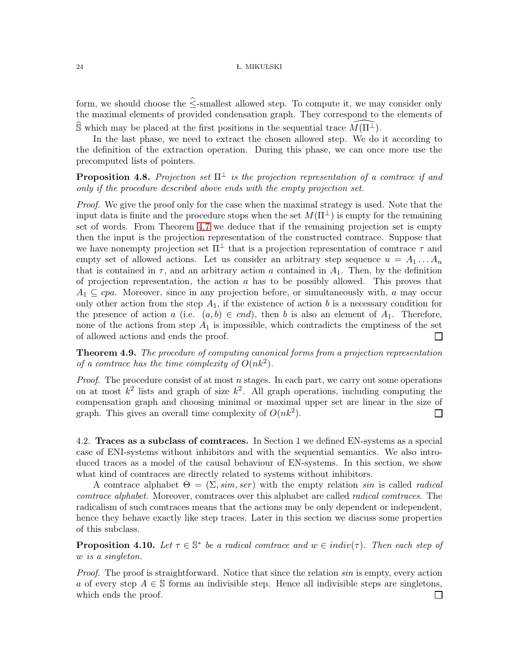form, we should choose the  $\hat{\le}$ -smallest allowed step. To compute it, we may consider only the maximal elements of provided condensation graph. They correspond to the elements of S which may be placed at the first positions in the sequential trace  $\widehat{M(\Pi^{\perp})}$ .

In the last phase, we need to extract the chosen allowed step. We do it according to the definition of the extraction operation. During this phase, we can once more use the precomputed lists of pointers.

**Proposition 4.8.** Projection set  $\Pi^{\perp}$  is the projection representation of a comtrace if and only if the procedure described above ends with the empty projection set.

Proof. We give the proof only for the case when the maximal strategy is used. Note that the input data is finite and the procedure stops when the set  $M(\Pi^{\perp})$  is empty for the remaining set of words. From Theorem [4.7](#page-22-0) we deduce that if the remaining projection set is empty then the input is the projection representation of the constructed comtrace. Suppose that we have nonempty projection set  $\Pi^{\perp}$  that is a projection representation of comtrace  $\tau$  and empty set of allowed actions. Let us consider an arbitrary step sequence  $u = A_1 \dots A_n$ that is contained in  $\tau$ , and an arbitrary action a contained in  $A_1$ . Then, by the definition of projection representation, the action  $\alpha$  has to be possibly allowed. This proves that  $A_1 \subseteq cpa$ . Moreover, since in any projection before, or simultaneously with, a may occur only other action from the step  $A_1$ , if the existence of action b is a necessary condition for the presence of action a (i.e.  $(a, b) \in end$ ), then b is also an element of  $A_1$ . Therefore, none of the actions from step  $A_1$  is impossible, which contradicts the emptiness of the set of allowed actions and ends the proof.  $\Box$ 

Theorem 4.9. The procedure of computing canonical forms from a projection representation of a comtrace has the time complexity of  $O(nk^2)$ .

*Proof.* The procedure consist of at most n stages. In each part, we carry out some operations on at most  $k^2$  lists and graph of size  $k^2$ . All graph operations, including computing the compensation graph and choosing minimal or maximal upper set are linear in the size of graph. This gives an overall time complexity of  $O(nk^2)$ .  $\Box$ 

4.2. Traces as a subclass of comtraces. In Section 1 we defined EN-systems as a special case of ENI-systems without inhibitors and with the sequential semantics. We also introduced traces as a model of the causal behaviour of EN-systems. In this section, we show what kind of comtraces are directly related to systems without inhibitors.

A comtrace alphabet  $\Theta = (\Sigma, \text{sim}, \text{ser})$  with the empty relation sin is called radical comtrace alphabet. Moreover, comtraces over this alphabet are called radical comtraces. The radicalism of such comtraces means that the actions may be only dependent or independent, hence they behave exactly like step traces. Later in this section we discuss some properties of this subclass.

**Proposition 4.10.** Let  $\tau \in \mathbb{S}^*$  be a radical comtrace and  $w \in \text{indiv}(\tau)$ . Then each step of w is a singleton.

Proof. The proof is straightforward. Notice that since the relation sin is empty, every action a of every step  $A \in \mathbb{S}$  forms an indivisible step. Hence all indivisible steps are singletons, which ends the proof. $\Box$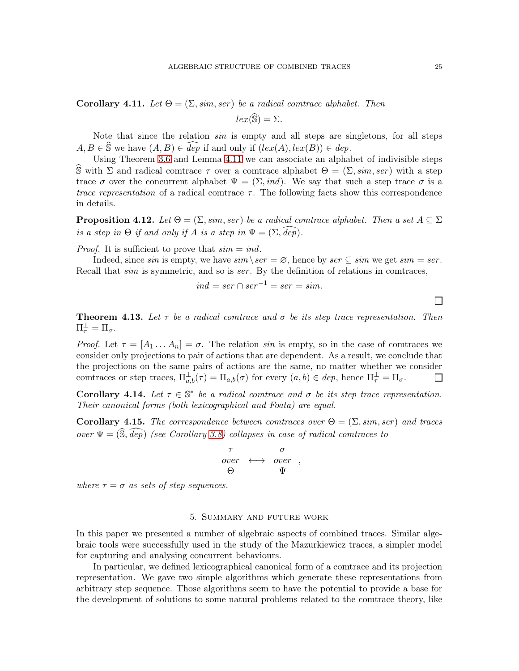$lex(\widehat{\mathbb{S}}) = \Sigma.$ 

<span id="page-24-0"></span>Note that since the relation sin is empty and all steps are singletons, for all steps  $A, B \in \widehat{S}$  we have  $(A, B) \in \overline{dep}$  if and only if  $(lex(A), lex(B)) \in dep$ .

Using Theorem [3.6](#page-15-0) and Lemma [4.11](#page-24-0) we can associate an alphabet of indivisible steps S with Σ and radical comtrace  $τ$  over a comtrace alphabet  $Θ = (Σ, sim, ser)$  with a step trace  $\sigma$  over the concurrent alphabet  $\Psi = (\Sigma, ind)$ . We say that such a step trace  $\sigma$  is a trace representation of a radical comtrace  $\tau$ . The following facts show this correspondence in details.

**Proposition 4.12.** Let  $\Theta = (\Sigma, \text{sim}, \text{ser})$  be a radical comtrace alphabet. Then a set  $A \subseteq \Sigma$ is a step in  $\Theta$  if and only if A is a step in  $\Psi = (\Sigma, \text{dep}).$ 

*Proof.* It is sufficient to prove that  $sim = ind$ .

Indeed, since sin is empty, we have  $\text{sim} \setminus \text{ser} = \varnothing$ , hence by  $\text{ser} \subseteq \text{sim}$  we get  $\text{sim} = \text{ser}$ . Recall that *sim* is symmetric, and so is *ser*. By the definition of relations in comtraces,

$$
ind = ser \cap ser^{-1} = ser = sim.
$$

**Theorem 4.13.** Let  $\tau$  be a radical comtrace and  $\sigma$  be its step trace representation. Then  $\Pi_\tau^\perp = \Pi_\sigma.$ 

Proof. Let  $\tau = [A_1 \dots A_n] = \sigma$ . The relation sin is empty, so in the case of comtraces we consider only projections to pair of actions that are dependent. As a result, we conclude that the projections on the same pairs of actions are the same, no matter whether we consider comtraces or step traces,  $\Pi_{a,b}^{\perp}(\tau) = \Pi_{a,b}(\sigma)$  for every  $(a,b) \in dep$ , hence  $\Pi_{\tau}^{\perp} = \Pi_{\sigma}$ .  $\Box$ 

Corollary 4.14. Let  $\tau \in \mathbb{S}^*$  be a radical comtrace and  $\sigma$  be its step trace representation. Their canonical forms (both lexicographical and Foata) are equal.

Corollary 4.15. The correspondence between comtraces over  $\Theta = (\Sigma, sim, ser)$  and traces over  $\Psi = (\widehat{\mathbb{S}}, \widehat{dep})$  (see Corollary [3.8\)](#page-16-1) collapses in case of radical comtraces to

$$
\begin{array}{ccc}\n\tau & \sigma \\
overline{\phantom{0}} & \longleftrightarrow & over \\
\Theta & \Psi\n\end{array}
$$

where  $\tau = \sigma$  as sets of step sequences.

# 5. Summary and future work

In this paper we presented a number of algebraic aspects of combined traces. Similar algebraic tools were successfully used in the study of the Mazurkiewicz traces, a simpler model for capturing and analysing concurrent behaviours.

In particular, we defined lexicographical canonical form of a comtrace and its projection representation. We gave two simple algorithms which generate these representations from arbitrary step sequence. Those algorithms seem to have the potential to provide a base for the development of solutions to some natural problems related to the comtrace theory, like

 $\Box$